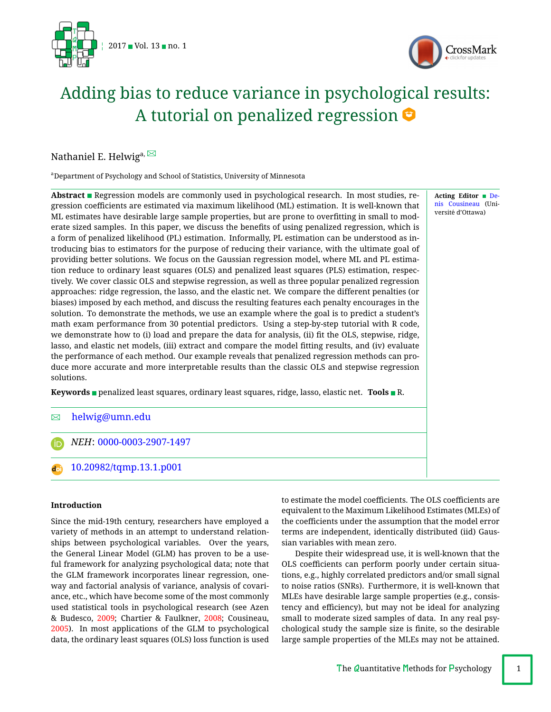



# Adding bias to reduce variance in psychological results: A tutorial o[n](#page-16-0) penalized regression  $\bullet$

Nathaniel E. Helwig<sup>a, ⊠</sup>

a Department of Psychology and School of Statistics, University of Minnesota

Abstract **Regression models are commonly used in psychological research. In most studies, re**gression coefficients are estimated via maximum likelihood (ML) estimation. It is well-known that ML estimates have desirable large sample properties, but are prone to overtting in small to moderate sized samples. In this paper, we discuss the benefits of using penalized regression, which is a form of penalized likelihood (PL) estimation. Informally, PL estimation can be understood as introducing bias to estimators for the purpose of reducing their variance, with the ultimate goal of providing better solutions. We focus on the Gaussian regression model, where ML and PL estimation reduce to ordinary least squares (OLS) and penalized least squares (PLS) estimation, respectively. We cover classic OLS and stepwise regression, as well as three popular penalized regression approaches: ridge regression, the lasso, and the elastic net. We compare the different penalties (or biases) imposed by each method, and discuss the resulting features each penalty encourages in the solution. To demonstrate the methods, we use an example where the goal is to predict a student's math exam performance from 30 potential predictors. Using a step-by-step tutorial with R code, we demonstrate how to (i) load and prepare the data for analysis, (ii) fit the OLS, stepwise, ridge, lasso, and elastic net models, (iii) extract and compare the model fitting results, and (iv) evaluate the performance of each method. Our example reveals that penalized regression methods can produce more accurate and more interpretable results than the classic OLS and stepwise regression solutions.

**Keywords** penalized least squares, ordinary least squares, ridge, lasso, elastic net. **Tools** R.

# B [helwig@umn.edu](mailto:helwig@umn.edu)

*NEH*: [0000-0003-2907-1497](http://www.orcid.org/0000-0003-2907-1497) 1n

[10.20982/tqmp.13.1.p001](http://dx.doi.org/10.20982/tqmp.13.1.p001) dot

# **Introduction**

Since the mid-19th century, researchers have employed a variety of methods in an attempt to understand relationships between psychological variables. Over the years, the General Linear Model (GLM) has proven to be a useful framework for analyzing psychological data; note that the GLM framework incorporates linear regression, oneway and factorial analysis of variance, analysis of covariance, etc., which have become some of the most commonly used statistical tools in psychological research (see Azen & Budesco, [2009;](#page-15-0) Chartier & Faulkner, [2008;](#page-15-1) Cousineau, [2005\)](#page-15-2). In most applications of the GLM to psychological data, the ordinary least squares (OLS) loss function is used to estimate the model coefficients. The OLS coefficients are equivalent to the Maximum Likelihood Estimates (MLEs) of the coefficients under the assumption that the model error terms are independent, identically distributed (iid) Gaussian variables with mean zero.

Despite their widespread use, it is well-known that the OLS coefficients can perform poorly under certain situations, e.g., highly correlated predictors and/or small signal to noise ratios (SNRs). Furthermore, it is well-known that MLEs have desirable large sample properties (e.g., consistency and efficiency), but may not be ideal for analyzing small to moderate sized samples of data. In any real psychological study the sample size is finite, so the desirable large sample properties of the MLEs may not be attained.

**Acting Editor** [De](http://www.orcid.org/0000-0001-5908-0402)[nis Cousineau](http://www.orcid.org/0000-0001-5908-0402) (Université d'Ottawa)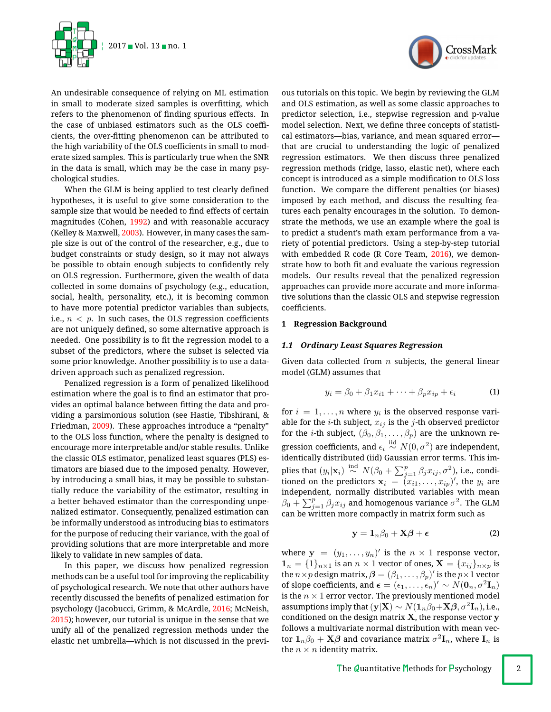

An undesirable consequence of relying on ML estimation in small to moderate sized samples is overfitting, which refers to the phenomenon of finding spurious effects. In the case of unbiased estimators such as the OLS coefficients, the over-fitting phenomenon can be attributed to the high variability of the OLS coefficients in small to moderate sized samples. This is particularly true when the SNR in the data is small, which may be the case in many psychological studies.

When the GLM is being applied to test clearly defined hypotheses, it is useful to give some consideration to the sample size that would be needed to find effects of certain magnitudes (Cohen, [1992\)](#page-15-3) and with reasonable accuracy (Kelley & Maxwell, [2003\)](#page-15-4). However, in many cases the sample size is out of the control of the researcher, e.g., due to budget constraints or study design, so it may not always be possible to obtain enough subjects to confidently rely on OLS regression. Furthermore, given the wealth of data collected in some domains of psychology (e.g., education, social, health, personality, etc.), it is becoming common to have more potential predictor variables than subjects, i.e.,  $n < p$ . In such cases, the OLS regression coefficients are not uniquely defined, so some alternative approach is needed. One possibility is to fit the regression model to a subset of the predictors, where the subset is selected via some prior knowledge. Another possibility is to use a datadriven approach such as penalized regression.

Penalized regression is a form of penalized likelihood estimation where the goal is to find an estimator that provides an optimal balance between fitting the data and providing a parsimonious solution (see Hastie, Tibshirani, & Friedman, [2009\)](#page-15-5). These approaches introduce a "penalty" to the OLS loss function, where the penalty is designed to encourage more interpretable and/or stable results. Unlike the classic OLS estimator, penalized least squares (PLS) estimators are biased due to the imposed penalty. However, by introducing a small bias, it may be possible to substantially reduce the variability of the estimator, resulting in a better behaved estimator than the corresponding unpenalized estimator. Consequently, penalized estimation can be informally understood as introducing bias to estimators for the purpose of reducing their variance, with the goal of providing solutions that are more interpretable and more likely to validate in new samples of data.

In this paper, we discuss how penalized regression methods can be a useful tool for improving the replicability of psychological research. We note that other authors have recently discussed the benefits of penalized estimation for psychology (Jacobucci, Grimm, & McArdle, [2016;](#page-15-6) McNeish, [2015\)](#page-15-7); however, our tutorial is unique in the sense that we unify all of the penalized regression methods under the elastic net umbrella—which is not discussed in the previ-



ous tutorials on this topic. We begin by reviewing the GLM and OLS estimation, as well as some classic approaches to predictor selection, i.e., stepwise regression and p-value model selection. Next, we define three concepts of statistical estimators—bias, variance, and mean squared error that are crucial to understanding the logic of penalized regression estimators. We then discuss three penalized regression methods (ridge, lasso, elastic net), where each concept is introduced as a simple modification to OLS loss function. We compare the different penalties (or biases) imposed by each method, and discuss the resulting features each penalty encourages in the solution. To demonstrate the methods, we use an example where the goal is to predict a student's math exam performance from a variety of potential predictors. Using a step-by-step tutorial with embedded R code (R Core Team, [2016\)](#page-15-8), we demonstrate how to both fit and evaluate the various regression models. Our results reveal that the penalized regression approaches can provide more accurate and more informative solutions than the classic OLS and stepwise regression coefficients.

## **1 Regression Background**

## *1.1 Ordinary Least Squares Regression*

Given data collected from *n* subjects, the general linear model (GLM) assumes that

<span id="page-1-0"></span>
$$
y_i = \beta_0 + \beta_1 x_{i1} + \dots + \beta_p x_{ip} + \epsilon_i \tag{1}
$$

for  $i = 1, \ldots, n$  where  $y_i$  is the observed response variable for the *i*-th subject,  $x_{ij}$  is the *j*-th observed predictor for the *i*-th subject,  $(\beta_0, \beta_1, \ldots, \beta_p)$  are the unknown regression coefficients, and  $\epsilon_i \stackrel{\mathrm{iid}}{\sim} N(0, \sigma^2)$  are independent, identically distributed (iid) Gaussian error terms. This implies that  $(y_i|\mathbf{x}_i) \stackrel{\text{ind}}{\sim} N(\beta_0 + \sum_{j=1}^p \beta_j x_{ij}, \sigma^2),$  i.e., conditioned on the predictors  $\mathbf{x}_i \ = \ (x_{i1},\ldots,x_{ip})',$  the  $y_i$  are independent, normally distributed variables with mean  $\beta_0 + \sum_{j=1}^p \beta_j x_{ij}$  and homogenous variance  $\sigma^2.$  The GLM can be written more compactly in matrix form such as

$$
y = 1_n \beta_0 + X\beta + \epsilon \tag{2}
$$

where  $y = (y_1, \ldots, y_n)'$  is the  $n \times 1$  response vector,  $\mathbf{1}_n = \{1\}_{n \times 1}$  is an  $n \times 1$  vector of ones,  $\mathbf{X} = \{x_{ij}\}_{n \times p}$  is the  $n \times p$  design matrix,  $\boldsymbol{\beta} = (\beta_1, \ldots, \beta_p)'$  is the  $p \times 1$  vector of slope coefficients, and  $\boldsymbol{\epsilon} = (\epsilon_1, \ldots, \epsilon_n)' \sim N(\mathbf{0}_n, \sigma^2 \mathbf{I}_n)$ is the  $n \times 1$  error vector. The previously mentioned model assumptions imply that  $(y|X) \sim N(\mathbf{1}_n\beta_0+X\boldsymbol{\beta}, \sigma^2\mathbf{I}_n)$ , i.e., conditioned on the design matrix  $X$ , the response vector  $y$ follows a multivariate normal distribution with mean vector  $\mathbf{1}_{n}\beta_0 + \mathbf{X}\boldsymbol{\beta}$  and covariance matrix  $\sigma^2\mathbf{I}_n$ , where  $\mathbf{I}_n$  is the  $n \times n$  identity matrix.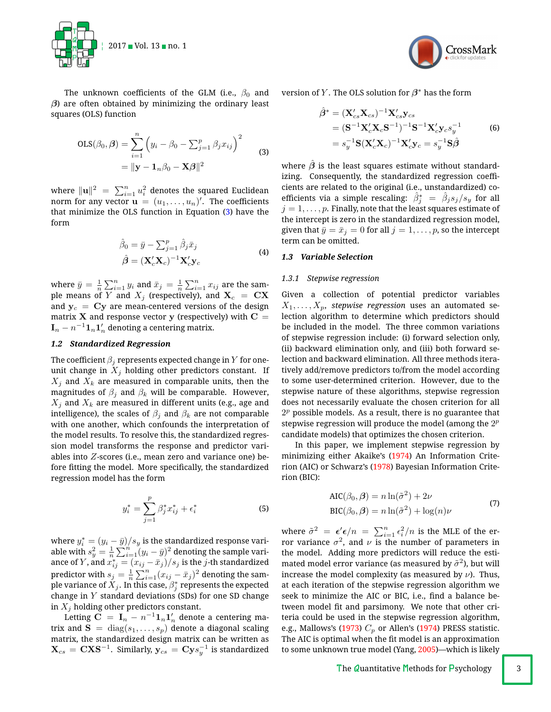

The unknown coefficients of the GLM (i.e.,  $\beta_0$  and  $\beta$ ) are often obtained by minimizing the ordinary least squares (OLS) function

<span id="page-2-0"></span>
$$
OLS(\beta_0, \beta) = \sum_{i=1}^n \left( y_i - \beta_0 - \sum_{j=1}^p \beta_j x_{ij} \right)^2
$$
  
=  $||\mathbf{y} - \mathbf{1}_n \beta_0 - \mathbf{X} \beta||^2$  (3)

where  $\|\mathbf{u}\|^2 \ = \ \sum_{i=1}^n u_i^2$  denotes the squared Euclidean norm for any vector  $\mathbf{u} \, = \, (u_1, \ldots, u_n)'$ . The coefficients that minimize the OLS function in Equation [\(3\)](#page-2-0) have the form

$$
\hat{\beta}_0 = \bar{y} - \sum_{j=1}^p \hat{\beta}_j \bar{x}_j
$$
  
\n
$$
\hat{\beta} = (\mathbf{X}_c' \mathbf{X}_c)^{-1} \mathbf{X}_c' \mathbf{y}_c
$$
\n(4)

<span id="page-2-1"></span>where  $\bar{y}=\frac{1}{n}\sum_{i=1}^n y_i$  and  $\bar{x}_j=\frac{1}{n}\sum_{i=1}^n x_{ij}$  are the sample means of  $\overline{Y}$  and  $X_j$  (respectively), and  $X_c = C X$ and  $y_c = Cy$  are mean-centered versions of the design matrix **X** and response vector y (respectively) with  $C =$  $\mathbf{I}_n - n^{-1} \mathbf{1}_n \mathbf{1}_n'$  denoting a centering matrix.

## *1.2 Standardized Regression*

The coefficient  $\beta_i$  represents expected change in  $Y$  for oneunit change in  $X_j$  holding other predictors constant. If  $X_i$  and  $X_k$  are measured in comparable units, then the magnitudes of  $\beta_j$  and  $\beta_k$  will be comparable. However, *X<sup>j</sup>* and *X<sup>k</sup>* are measured in different units (e.g., age and intelligence), the scales of  $\beta_j$  and  $\beta_k$  are not comparable with one another, which confounds the interpretation of the model results. To resolve this, the standardized regression model transforms the response and predictor variables into *Z*-scores (i.e., mean zero and variance one) before fitting the model. More specifically, the standardized regression model has the form

$$
y_i^* = \sum_{j=1}^p \beta_j^* x_{ij}^* + \epsilon_i^*
$$
 (5)

where  $y_i^* = (y_i - \bar{y})/s_y$  is the standardized response variable with  $s_y^2 = \frac{1}{n} \sum_{i=1}^n (y_i - \bar{y})^2$  denoting the sample variance of  $Y$ , and  $x_{ij}^* = (x_{ij} - \bar{x}_j)/s_j$  is the *j*-th standardized predictor with  $s_j = \frac{1}{n} \sum_{i=1}^n (x_{ij} - \bar{x}_j)^2$  denoting the sample variance of  $X_j.$  In this case,  $\beta^*_j$  represents the expected change in *Y* standard deviations (SDs) for one SD change in *X<sup>j</sup>* holding other predictors constant.

Letting  $\mathbf{C} \ = \ \mathbf{I}_n - n^{-1} \mathbf{1}_n \mathbf{1}_n^\prime$  denote a centering matrix and  $S = diag(s_1, \ldots, s_p)$  denote a diagonal scaling matrix, the standardized design matrix can be written as  $\mathbf{X}_{cs} = \mathbf{C} \mathbf{X} \mathbf{S}^{-1}$ . Similarly,  $\mathbf{y}_{cs} = \mathbf{C} \mathbf{y} s_y^{-1}$  is standardized



version of *Y*. The OLS solution for  $\beta^*$  has the form

$$
\hat{\beta}^* = (\mathbf{X}_{cs}'\mathbf{X}_{cs})^{-1}\mathbf{X}_{cs}'\mathbf{y}_{cs} \n= (\mathbf{S}^{-1}\mathbf{X}_c'\mathbf{X}_c\mathbf{S}^{-1})^{-1}\mathbf{S}^{-1}\mathbf{X}_c'\mathbf{y}_cs_y^{-1} \n= s_y^{-1}\mathbf{S}(\mathbf{X}_c'\mathbf{X}_c)^{-1}\mathbf{X}_c'\mathbf{y}_c = s_y^{-1}\mathbf{S}\hat{\beta}
$$
\n(6)

where  $\hat{\beta}$  is the least squares estimate without standardizing. Consequently, the standardized regression coefficients are related to the original (i.e., unstandardized) coefficients via a simple rescaling:  $\hat{\beta}_j^*~=~\hat{\beta}_j s_j/s_y$  for all  $j=1,\ldots,p.$  Finally, note that the least squares estimate of the intercept is zero in the standardized regression model, given that  $\bar{y} = \bar{x}_j = 0$  for all  $j = 1, \ldots, p$ , so the intercept term can be omitted.

## *1.3 Variable Selection*

#### *1.3.1 Stepwise regression*

Given a collection of potential predictor variables  $X_1, \ldots, X_p$ , *stepwise regression* uses an automated selection algorithm to determine which predictors should be included in the model. The three common variations of stepwise regression include: (i) forward selection only, (ii) backward elimination only, and (iii) both forward selection and backward elimination. All three methods iteratively add/remove predictors to/from the model according to some user-determined criterion. However, due to the stepwise nature of these algorithms, stepwise regression does not necessarily evaluate the chosen criterion for all 2*<sup>p</sup>* possible models. As a result, there is no guarantee that stepwise regression will produce the model (among the 2*<sup>p</sup>* candidate models) that optimizes the chosen criterion.

In this paper, we implement stepwise regression by minimizing either Akaike's [\(1974\)](#page-14-0) An Information Criterion (AIC) or Schwarz's [\(1978\)](#page-15-9) Bayesian Information Criterion (BIC):

$$
AIC(\beta_0, \beta) = n \ln(\tilde{\sigma}^2) + 2\nu
$$
  
\n
$$
BIC(\beta_0, \beta) = n \ln(\tilde{\sigma}^2) + \log(n)\nu
$$
\n(7)

where  $\tilde{\sigma}^2 = \epsilon' \epsilon/n = \sum_{i=1}^n \epsilon_i^2/n$  is the MLE of the error variance  $\sigma^2$ , and  $\nu$  is the number of parameters in the model. Adding more predictors will reduce the estimated model error variance (as measured by  $\tilde{\sigma}^2$ ), but will increase the model complexity (as measured by  $\nu$ ). Thus, at each iteration of the stepwise regression algorithm we seek to minimize the AIC or BIC, i.e., find a balance between model fit and parsimony. We note that other criteria could be used in the stepwise regression algorithm, e.g., Mallows's [\(1973\)](#page-15-10)  $C_p$  or Allen's [\(1974\)](#page-14-1) PRESS statistic. The AIC is optimal when the fit model is an approximation to some unknown true model (Yang, [2005\)](#page-16-1)—which is likely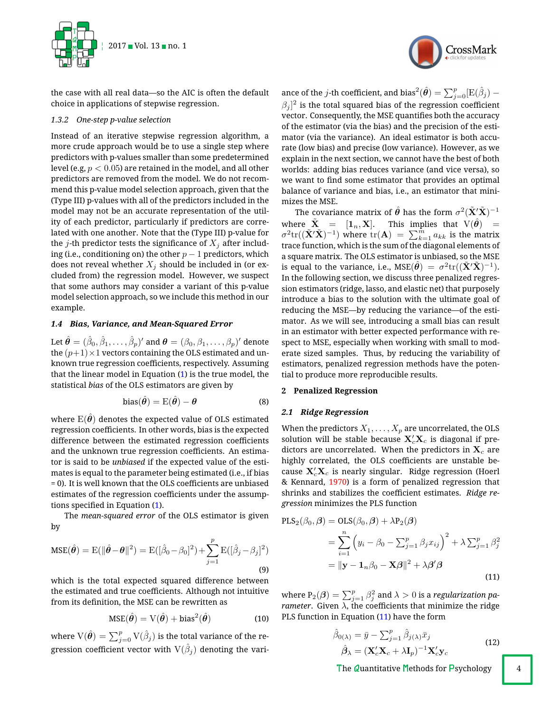

the case with all real data—so the AIC is often the default choice in applications of stepwise regression.

## *1.3.2 One-step p-value selection*

Instead of an iterative stepwise regression algorithm, a more crude approach would be to use a single step where predictors with p-values smaller than some predetermined level (e.g, *p <* 0*.*05) are retained in the model, and all other predictors are removed from the model. We do not recommend this p-value model selection approach, given that the (Type III) p-values with all of the predictors included in the model may not be an accurate representation of the utility of each predictor, particularly if predictors are correlated with one another. Note that the (Type III) p-value for the *j*-th predictor tests the significance of  $X_i$  after including (i.e., conditioning on) the other  $p-1$  predictors, which does not reveal whether  $X_j$  should be included in (or excluded from) the regression model. However, we suspect that some authors may consider a variant of this p-value model selection approach, so we include this method in our example.

## *1.4 Bias, Variance, and Mean-Squared Error*

Let  $\hat{\theta} = (\hat{\beta}_0, \hat{\beta}_1, \ldots, \hat{\beta}_p)'$  and  $\theta = (\beta_0, \beta_1, \ldots, \beta_p)'$  denote the  $(p+1) \times 1$  vectors containing the OLS estimated and unknown true regression coefficients, respectively. Assuming that the linear model in Equation [\(1\)](#page-1-0) is the true model, the statistical *bias* of the OLS estimators are given by

bias
$$
(\hat{\theta}) = E(\hat{\theta}) - \theta
$$
 (8)

where  $E(\hat{\theta})$  denotes the expected value of OLS estimated regression coefficients. In other words, bias is the expected difference between the estimated regression coefficients and the unknown true regression coefficients. An estimator is said to be *unbiased* if the expected value of the estimates is equal to the parameter being estimated (i.e., if bias = 0). It is well known that the OLS coefficients are unbiased estimates of the regression coefficients under the assumptions specified in Equation  $(1)$ .

The *mean-squared error* of the OLS estimator is given by

$$
\text{MSE}(\hat{\boldsymbol{\theta}}) = \text{E}(\|\hat{\boldsymbol{\theta}} - \boldsymbol{\theta}\|^2) = \text{E}([\hat{\beta}_0 - \beta_0]^2) + \sum_{j=1}^p \text{E}([\hat{\beta}_j - \beta_j]^2)
$$
\n(9)

which is the total expected squared difference between the estimated and true coefficients. Although not intuitive from its definition, the MSE can be rewritten as

$$
MSE(\hat{\theta}) = V(\hat{\theta}) + bias^2(\hat{\theta})
$$
 (10)

where  $\mathrm{V}(\hat{\bm{\theta}}) = \sum_{j=0}^p \mathrm{V}(\hat{\beta}_j)$  is the total variance of the regression coefficient vector with  $V(\hat{\beta}_j)$  denoting the vari-



ance of the  $j$ -th coefficient, and bias $^2(\hat{\bm{\theta}}) = \sum_{j=0}^p [\mathrm{E}(\hat{\beta}_j) \beta_j]^2$  is the total squared bias of the regression coefficient vector. Consequently, the MSE quantifies both the accuracy of the estimator (via the bias) and the precision of the estimator (via the variance). An ideal estimator is both accurate (low bias) and precise (low variance). However, as we explain in the next section, we cannot have the best of both worlds: adding bias reduces variance (and vice versa), so we want to find some estimator that provides an optimal balance of variance and bias, i.e., an estimator that minimizes the MSE.

The covariance matrix of  $\hat{\boldsymbol{\theta}}$  has the form  $\sigma^2(\tilde{\mathbf{X}}'\tilde{\mathbf{X}})^{-1}$ where  $\tilde{\textbf{X}} \hspace{2mm} = \hspace{2mm} [\textbf{1}_n, \textbf{X}].$  This implies that  $\text{V}(\hat{\boldsymbol{\theta}}) \hspace{2mm} =$  $\sigma^2\mathrm{tr}((\tilde{\mathbf{X}}'\tilde{\mathbf{X}})^{-1})$  where  $\mathrm{tr}(\mathbf{A})~=~\sum_{k=1}^m a_{kk}$  is the matrix trace function, which is the sum of the diagonal elements of a square matrix. The OLS estimator is unbiased, so the MSE is equal to the variance, i.e.,  $\text{MSE}(\hat{\boldsymbol{\theta}})\ =\ \sigma^2\text{tr}((\tilde{\textbf{X}}'\tilde{\textbf{X}})^{-1}).$ In the following section, we discuss three penalized regression estimators (ridge, lasso, and elastic net) that purposely introduce a bias to the solution with the ultimate goal of reducing the MSE—by reducing the variance—of the estimator. As we will see, introducing a small bias can result in an estimator with better expected performance with respect to MSE, especially when working with small to moderate sized samples. Thus, by reducing the variability of estimators, penalized regression methods have the potential to produce more reproducible results.

# **2 Penalized Regression**

# *2.1 Ridge Regression*

When the predictors  $X_1, \ldots, X_p$  are uncorrelated, the OLS solution will be stable because  $\mathbf{X}_c'\mathbf{X}_c$  is diagonal if predictors are uncorrelated. When the predictors in X*<sup>c</sup>* are highly correlated, the OLS coefficients are unstable because  $\mathbf{X}_c' \mathbf{X}_c$  is nearly singular. Ridge regression (Hoerl & Kennard, [1970\)](#page-15-11) is a form of penalized regression that shrinks and stabilizes the coefficient estimates. Ridge re*gression* minimizes the PLS function

<span id="page-3-0"></span>
$$
\begin{aligned} \text{PLS}_2(\beta_0, \beta) &= \text{OLS}(\beta_0, \beta) + \lambda \mathbb{P}_2(\beta) \\ &= \sum_{i=1}^n \left( y_i - \beta_0 - \sum_{j=1}^p \beta_j x_{ij} \right)^2 + \lambda \sum_{j=1}^p \beta_j^2 \\ &= ||\mathbf{y} - \mathbf{1}_n \beta_0 - \mathbf{X}\beta||^2 + \lambda \beta'\beta \end{aligned} \tag{11}
$$

where  $\texttt{P}_2(\bm{\beta}) = \sum_{j=1}^p \beta_j^2$  and  $\lambda > 0$  is a *regularization parameter.* Given  $\lambda$ , the coefficients that minimize the ridge PLS function in Equation [\(11\)](#page-3-0) have the form

$$
\hat{\beta}_{0(\lambda)} = \bar{y} - \sum_{j=1}^{p} \hat{\beta}_{j(\lambda)} \bar{x}_j
$$
\n
$$
\hat{\beta}_{\lambda} = (\mathbf{X}_c' \mathbf{X}_c + \lambda \mathbf{I}_p)^{-1} \mathbf{X}_c' \mathbf{y}_c
$$
\n(12)

The Quantitative Methods for Psychology  $\begin{vmatrix} 4 \\ 2 \end{vmatrix}$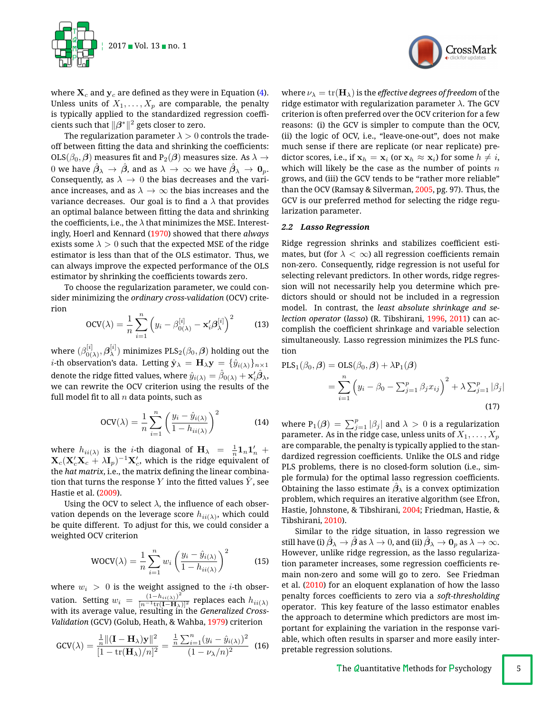

where  $\mathbf{X}_c$  and  $\mathbf{y}_c$  are defined as they were in Equation [\(4\)](#page-2-1). Unless units of  $X_1, \ldots, X_p$  are comparable, the penalty is typically applied to the standardized regression coefficients such that  $\|\beta^*\|^2$  gets closer to zero.

The regularization parameter  $\lambda > 0$  controls the tradeoff between fitting the data and shrinking the coefficients: OLS $(\beta_0, \beta)$  measures fit and P<sub>2</sub> $(\beta)$  measures size. As  $\lambda \rightarrow$ 0 we have  $\beta_{\lambda} \rightarrow \beta$ , and as  $\lambda \rightarrow \infty$  we have  $\beta_{\lambda} \rightarrow 0_p$ . Consequently, as  $\lambda \rightarrow 0$  the bias decreases and the variance increases, and as  $\lambda \to \infty$  the bias increases and the variance decreases. Our goal is to find a  $\lambda$  that provides an optimal balance between fitting the data and shrinking the coefficients, i.e., the  $\lambda$  that minimizes the MSE. Interestingly, Hoerl and Kennard [\(1970\)](#page-15-11) showed that there *always* exists some  $\lambda > 0$  such that the expected MSE of the ridge estimator is less than that of the OLS estimator. Thus, we can always improve the expected performance of the OLS estimator by shrinking the coefficients towards zero.

To choose the regularization parameter, we could consider minimizing the *ordinary cross-validation* (OCV) criterion

$$
OCV(\lambda) = \frac{1}{n} \sum_{i=1}^{n} \left( y_i - \beta_{0(\lambda)}^{[i]} - \mathbf{x}_i' \boldsymbol{\beta}_{\lambda}^{[i]} \right)^2 \tag{13}
$$

where  $(\beta_{0(\lambda)}^{[i]},\bm{\beta}_{\lambda}^{[i]})$  minimizes  $\text{PLS}_2(\beta_0,\bm{\beta})$  holding out the *i*-th observation's data. Letting  $\hat{\mathbf{y}}_{\lambda} = \mathbf{H}_{\lambda} \mathbf{y} = {\hat{y}}_{i(\lambda)}\}_{n \times 1}$ denote the ridge fitted values, where  $\hat{y}_{i(\lambda)} = \hat{\beta}_{0(\lambda)} + \mathbf{x}_i'\hat{\boldsymbol{\beta}}_{\lambda}$ , we can rewrite the OCV criterion using the results of the full model fit to all  $n$  data points, such as

$$
OCV(\lambda) = \frac{1}{n} \sum_{i=1}^{n} \left( \frac{y_i - \hat{y}_{i(\lambda)}}{1 - h_{ii(\lambda)}} \right)^2
$$
(14)

where  $h_{ii(\lambda)}$  is the *i*-th diagonal of  $\mathbf{H}_{\lambda} = \frac{1}{n} \mathbf{1}_n \mathbf{1}_n' +$  $\mathbf{X}_c (\mathbf{X}_c' \mathbf{X}_c + \lambda \mathbf{I}_p)^{-1} \mathbf{X}_c'$ , which is the ridge equivalent of the *hat matrix*, i.e., the matrix defining the linear combination that turns the response Y into the fitted values  $\hat{Y}$ , see Hastie et al. [\(2009\)](#page-15-5).

Using the OCV to select  $\lambda$ , the influence of each observation depends on the leverage score  $h_{ii(\lambda)}$ , which could be quite different. To adjust for this, we could consider a weighted OCV criterion

$$
WOCV(\lambda) = \frac{1}{n} \sum_{i=1}^{n} w_i \left( \frac{y_i - \hat{y}_{i(\lambda)}}{1 - h_{ii(\lambda)}} \right)^2
$$
 (15)

where  $w_i > 0$  is the weight assigned to the *i*-th observation. Setting  $w_i = \frac{(1-h_{ii(\lambda)})^2}{[n^{-1}\text{tr}(\mathbf{I}-\mathbf{H}_{\lambda})]^2}$  replaces each  $h_{ii(\lambda)}$ with its average value, resulting in the *Generalized Cross-Validation* (GCV) (Golub, Heath, & Wahba, [1979\)](#page-15-12) criterion

$$
GCV(\lambda) = \frac{\frac{1}{n} ||(\mathbf{I} - \mathbf{H}_{\lambda})\mathbf{y}||^2}{[1 - \text{tr}(\mathbf{H}_{\lambda})/n]^2} = \frac{\frac{1}{n} \sum_{i=1}^n (y_i - \hat{y}_{i(\lambda)})^2}{(1 - \nu_{\lambda}/n)^2}
$$
(16)

where  $\nu_{\lambda} = \text{tr}(\mathbf{H}_{\lambda})$  is the *effective degrees of freedom* of the ridge estimator with regularization parameter  $\lambda$ . The GCV criterion is often preferred over the OCV criterion for a few reasons: (i) the GCV is simpler to compute than the OCV, (ii) the logic of OCV, i.e., "leave-one-out", does not make much sense if there are replicate (or near replicate) predictor scores, i.e., if  $\mathbf{x}_h = \mathbf{x}_i$  (or  $\mathbf{x}_h \approx \mathbf{x}_i$ ) for some  $h \neq i$ , which will likely be the case as the number of points *n* grows, and (iii) the GCV tends to be "rather more reliable" than the OCV (Ramsay & Silverman, [2005,](#page-15-13) pg. 97). Thus, the GCV is our preferred method for selecting the ridge regularization parameter.

CrossMark

#### *2.2 Lasso Regression*

Ridge regression shrinks and stabilizes coefficient estimates, but (for  $\lambda < \infty$ ) all regression coefficients remain non-zero. Consequently, ridge regression is not useful for selecting relevant predictors. In other words, ridge regression will not necessarily help you determine which predictors should or should not be included in a regression model. In contrast, the *least absolute shrinkage and selection operator* (*lasso*) (R. Tibshirani, [1996,](#page-15-14) [2011\)](#page-15-15) can accomplish the coefficient shrinkage and variable selection simultaneously. Lasso regression minimizes the PLS function

$$
\begin{aligned} \text{PLS}_1(\beta_0, \beta) &= \text{OLS}(\beta_0, \beta) + \lambda \mathbf{P}_1(\beta) \\ &= \sum_{i=1}^n \left( y_i - \beta_0 - \sum_{j=1}^p \beta_j x_{ij} \right)^2 + \lambda \sum_{j=1}^p |\beta_j| \end{aligned} \tag{17}
$$

where  $\texttt{P}_1(\bm{\beta}) \, = \, \sum_{j=1}^p |\beta_j|$  and  $\lambda \, > \, 0$  is a regularization parameter. As in the ridge case, unless units of  $X_1,\ldots,X_p$ are comparable, the penalty is typically applied to the standardized regression coefficients. Unlike the OLS and ridge PLS problems, there is no closed-form solution (i.e., simple formula) for the optimal lasso regression coefficients. Obtaining the lasso estimate  $\beta_{\lambda}$  is a convex optimization problem, which requires an iterative algorithm (see Efron, Hastie, Johnstone, & Tibshirani, [2004;](#page-15-16) Friedman, Hastie, & Tibshirani, [2010\)](#page-15-17).

Similar to the ridge situation, in lasso regression we still have (i)  $\hat{\beta}_\lambda \to \hat{\beta}$  as  $\lambda \to 0$ , and (ii)  $\hat{\beta}_\lambda \to 0_p$  as  $\lambda \to \infty$ . However, unlike ridge regression, as the lasso regularization parameter increases, some regression coefficients remain non-zero and some will go to zero. See Friedman et al. [\(2010\)](#page-15-17) for an eloquent explanation of how the lasso penalty forces coefficients to zero via a *soft-thresholding* operator. This key feature of the lasso estimator enables the approach to determine which predictors are most important for explaining the variation in the response variable, which often results in sparser and more easily interpretable regression solutions.

The Quantitative Methods for  $P$ sychology  $\begin{bmatrix} 5 \end{bmatrix}$ 

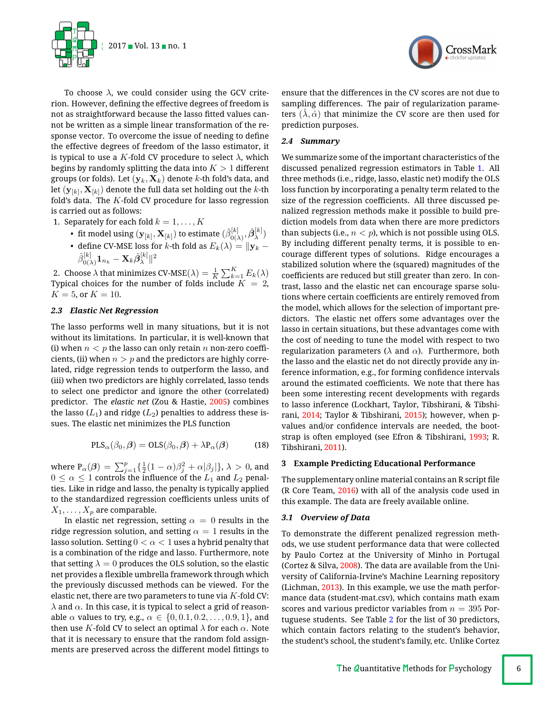



To choose  $\lambda$ , we could consider using the GCV criterion. However, defining the effective degrees of freedom is not as straightforward because the lasso fitted values cannot be written as a simple linear transformation of the response vector. To overcome the issue of needing to define the effective degrees of freedom of the lasso estimator, it is typical to use a K-fold CV procedure to select  $\lambda$ , which begins by randomly splitting the data into *K >* 1 different groups (or folds). Let (y*k,* X*k*) denote *k*-th fold's data, and let  $(\mathbf{y}_{[k]}, \mathbf{X}_{[k]})$  denote the full data set holding out the *k*-th fold's data. The *K*-fold CV procedure for lasso regression is carried out as follows:

1. Separately for each fold  $k = 1, \ldots, K$ 

• fit model using  $(\mathbf{y}_{[k]}, \mathbf{X}_{[k]})$  to estimate  $(\hat{\beta}_{0(\lambda)}^{[k]}, \hat{\beta}_{\lambda}^{[k]})$ • define CV-MSE loss for *k*-th fold as  $E_k(\lambda) = ||\mathbf{y}_k - \mathbf{y}_k||$  $\hat{\beta}^{[k]}_{0(\lambda)}\mathbf{1}_{n_k}-\mathbf{X}_k\hat{\boldsymbol{\beta}}^{[k]}_{\lambda}\|^2$ 

2. Choose  $\lambda$  that minimizes CV-MSE( $\lambda$ ) =  $\frac{1}{K} \sum_{k=1}^{K} E_k(\lambda)$ Typical choices for the number of folds include  $K = 2$ ,  $K = 5$ , or  $K = 10$ .

## *2.3 Elastic Net Regression*

The lasso performs well in many situations, but it is not without its limitations. In particular, it is well-known that (i) when  $n < p$  the lasso can only retain *n* non-zero coefficients, (ii) when  $n>p$  and the predictors are highly correlated, ridge regression tends to outperform the lasso, and (iii) when two predictors are highly correlated, lasso tends to select one predictor and ignore the other (correlated) predictor. The *elastic net* (Zou & Hastie, [2005\)](#page-16-2) combines the lasso  $(L_1)$  and ridge  $(L_2)$  penalties to address these issues. The elastic net minimizes the PLS function

$$
PLS_{\alpha}(\beta_0, \beta) = OLS(\beta_0, \beta) + \lambda P_{\alpha}(\beta)
$$
 (18)

where  $P_\alpha(\boldsymbol{\beta}) = \sum_{j=1}^p \{ \frac{1}{2} (1-\alpha) \beta_j^2 + \alpha |\beta_j| \}, \lambda > 0$ , and  $0 \leq \alpha \leq 1$  controls the influence of the  $L_1$  and  $L_2$  penalties. Like in ridge and lasso, the penalty is typically applied to the standardized regression coefficients unless units of  $X_1, \ldots, X_p$  are comparable.

In elastic net regression, setting  $\alpha = 0$  results in the ridge regression solution, and setting  $\alpha = 1$  results in the lasso solution. Setting  $0 < \alpha < 1$  uses a hybrid penalty that is a combination of the ridge and lasso. Furthermore, note that setting  $\lambda = 0$  produces the OLS solution, so the elastic net provides a flexible umbrella framework through which the previously discussed methods can be viewed. For the elastic net, there are two parameters to tune via *K*-fold CV:  $\lambda$  and  $\alpha$ . In this case, it is typical to select a grid of reasonable  $\alpha$  values to try, e.g.,  $\alpha \in \{0, 0.1, 0.2, ..., 0.9, 1\}$ , and then use *K*-fold CV to select an optimal  $\lambda$  for each  $\alpha$ . Note that it is necessary to ensure that the random fold assignments are preserved across the different model fittings to

ensure that the differences in the CV scores are not due to sampling differences. The pair of regularization parameters  $(\lambda, \hat{\alpha})$  that minimize the CV score are then used for prediction purposes.

## *2.4 Summary*

We summarize some of the important characteristics of the discussed penalized regression estimators in Table [1.](#page-6-0) All three methods (i.e., ridge, lasso, elastic net) modify the OLS loss function by incorporating a penalty term related to the size of the regression coefficients. All three discussed penalized regression methods make it possible to build prediction models from data when there are more predictors than subjects (i.e.,  $n < p$ ), which is not possible using OLS. By including different penalty terms, it is possible to encourage different types of solutions. Ridge encourages a stabilized solution where the (squared) magnitudes of the coefficients are reduced but still greater than zero. In contrast, lasso and the elastic net can encourage sparse solutions where certain coefficients are entirely removed from the model, which allows for the selection of important predictors. The elastic net offers some advantages over the lasso in certain situations, but these advantages come with the cost of needing to tune the model with respect to two regularization parameters ( $\lambda$  and  $\alpha$ ). Furthermore, both the lasso and the elastic net do not directly provide any inference information, e.g., for forming confidence intervals around the estimated coefficients. We note that there has been some interesting recent developments with regards to lasso inference (Lockhart, Taylor, Tibshirani, & Tibshirani, [2014;](#page-15-18) Taylor & Tibshirani, [2015\)](#page-15-19); however, when pvalues and/or confidence intervals are needed, the bootstrap is often employed (see Efron & Tibshirani, [1993;](#page-15-20) R. Tibshirani, [2011\)](#page-15-15).

## **3 Example Predicting Educational Performance**

The supplementary online material contains an R script file (R Core Team, [2016\)](#page-15-8) with all of the analysis code used in this example. The data are freely available online.

# *3.1 Overview of Data*

To demonstrate the different penalized regression methods, we use student performance data that were collected by Paulo Cortez at the University of Minho in Portugal (Cortez & Silva, [2008\)](#page-15-21). The data are available from the University of California-Irvine's Machine Learning repository (Lichman, [2013\)](#page-15-22). In this example, we use the math performance data (student-mat.csv), which contains math exam scores and various predictor variables from  $n = 395$  Portuguese students. See Table [2](#page-7-0) for the list of 30 predictors, which contain factors relating to the student's behavior, the student's school, the student's family, etc. Unlike Cortez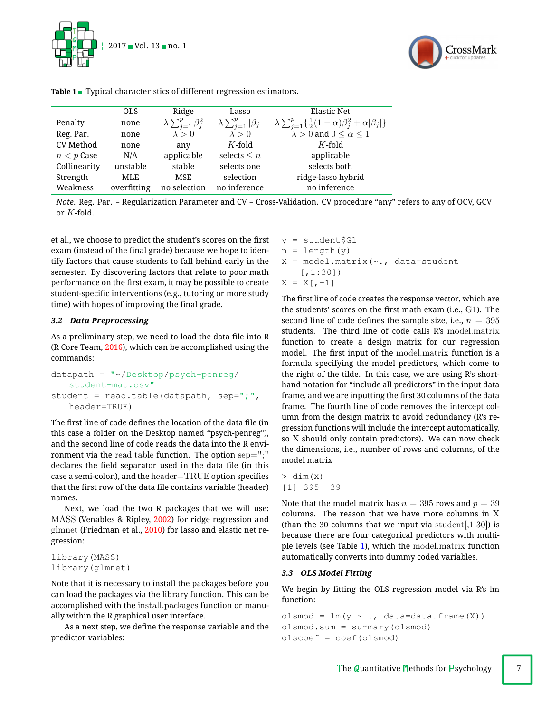



|                  | <b>OLS</b>  | Ridge                            | Lasso                            | <b>Elastic Net</b>                                                            |
|------------------|-------------|----------------------------------|----------------------------------|-------------------------------------------------------------------------------|
| Penalty          | none        | $\lambda \sum_{i=1}^p \beta_i^2$ | $\lambda \sum_{i=1}^p  \beta_i $ | $\lambda \sum_{i=1}^{p} \{\frac{1}{2}(1-\alpha)\beta_i^2 + \alpha \beta_j \}$ |
| Reg. Par.        | none        | $\lambda > 0$                    | $\lambda > 0$                    | $\lambda > 0$ and $0 \leq \alpha \leq 1$                                      |
| <b>CV</b> Method | none        | any                              | $K$ -fold                        | $K$ -fold                                                                     |
| $n < p$ Case     | N/A         | applicable                       | selects $\leq n$                 | applicable                                                                    |
| Collinearity     | unstable    | stable                           | selects one                      | selects both                                                                  |
| Strength         | MLE         | <b>MSE</b>                       | selection                        | ridge-lasso hybrid                                                            |
| Weakness         | overfitting | no selection                     | no inference                     | no inference                                                                  |

<span id="page-6-0"></span>**Table 1** Typical characteristics of different regression estimators.

*Note*. Reg. Par. = Regularization Parameter and CV = Cross-Validation. CV procedure "any" refers to any of OCV, GCV or *K*-fold.

et al., we choose to predict the student's scores on the first exam (instead of the final grade) because we hope to identify factors that cause students to fall behind early in the semester. By discovering factors that relate to poor math performance on the first exam, it may be possible to create student-specific interventions (e.g., tutoring or more study time) with hopes of improving the final grade.

# *3.2 Data Preprocessing*

As a preliminary step, we need to load the data file into R (R Core Team, [2016\)](#page-15-8), which can be accomplished using the commands:

```
datapath = "~/Desktop/psych-penreg/
   student-mat.csv"
student = read.table(datapath, sep=";",
   header=TRUE)
```
The first line of code defines the location of the data file (in this case a folder on the Desktop named "psych-penreg"), and the second line of code reads the data into the R environment via the read.table function. The option  $sep="$ ;" declares the field separator used in the data file (in this case a semi-colon), and the  $header = TRUE$  option specifies that the first row of the data file contains variable (header) names.

Next, we load the two R packages that we will use: MASS (Venables & Ripley, [2002\)](#page-15-23) for ridge regression and glmnet (Friedman et al., [2010\)](#page-15-17) for lasso and elastic net regression:

```
library(MASS)
library(glmnet)
```
Note that it is necessary to install the packages before you can load the packages via the library function. This can be accomplished with the install.packages function or manually within the R graphical user interface.

As a next step, we define the response variable and the predictor variables:

 $y = student $G1$  $n = length(y)$  $X = model.matrix(\sim, data=student)$ [,1:30])  $X = X[,-1]$ 

The first line of code creates the response vector, which are the students' scores on the first math exam (i.e.,  $G1$ ). The second line of code defines the sample size, i.e.,  $n = 395$ students. The third line of code calls R's model.matrix function to create a design matrix for our regression model. The first input of the model.matrix function is a formula specifying the model predictors, which come to the right of the tilde. In this case, we are using R's shorthand notation for "include all predictors" in the input data frame, and we are inputting the first 30 columns of the data frame. The fourth line of code removes the intercept column from the design matrix to avoid redundancy (R's regression functions will include the intercept automatically, so X should only contain predictors). We can now check the dimensions, i.e., number of rows and columns, of the model matrix

```
> dim(X)
[1] 395 39
```
Note that the model matrix has  $n = 395$  rows and  $p = 39$ columns. The reason that we have more columns in X (than the 30 columns that we input via student $(1:30)$ ) is because there are four categorical predictors with multiple levels (see Table [1\)](#page-6-0), which the model.matrix function automatically converts into dummy coded variables.

# *3.3 OLS Model Fitting*

We begin by fitting the OLS regression model via R's  $\text{lm}$ function:

```
olsmod = lm(y \sim ., data=data-frame(X))olsmod.sum = summary(olsmod)
olscoef = coef(olsmod)
```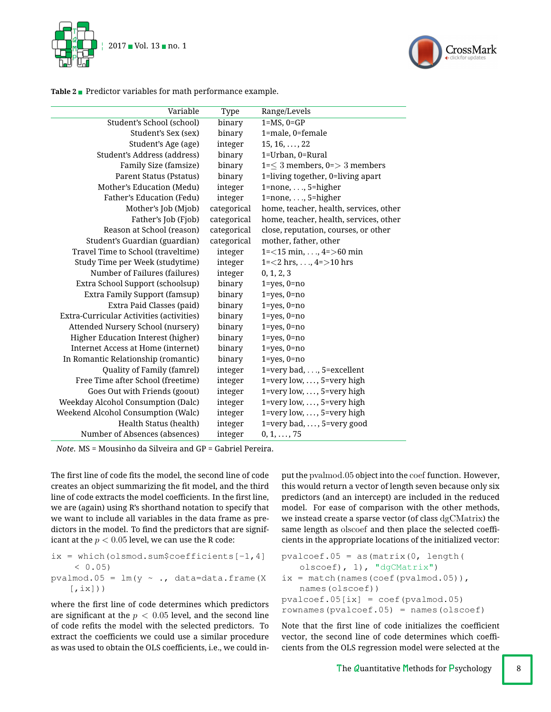



<span id="page-7-0"></span>Table 2 Predictor variables for math performance example.

| Variable                                 | Type        | Range/Levels                           |
|------------------------------------------|-------------|----------------------------------------|
| Student's School (school)                | binary      | $1=MS$ , $0=GP$                        |
| Student's Sex (sex)                      | binary      | 1=male, 0=female                       |
| Student's Age (age)                      | integer     | $15, 16, \ldots, 22$                   |
| Student's Address (address)              | binary      | 1=Urban, 0=Rural                       |
| Family Size (famsize)                    | binary      | $1=\leq 3$ members, 0=> 3 members      |
| Parent Status (Pstatus)                  | binary      | 1=living together, 0=living apart      |
| Mother's Education (Medu)                | integer     | $1$ =none, , $5$ =higher               |
| Father's Education (Fedu)                | integer     | $1$ =none, , $5$ =higher               |
| Mother's Job (Mjob)                      | categorical | home, teacher, health, services, other |
| Father's Job (Fjob)                      | categorical | home, teacher, health, services, other |
| Reason at School (reason)                | categorical | close, reputation, courses, or other   |
| Student's Guardian (guardian)            | categorical | mother, father, other                  |
| Travel Time to School (traveltime)       | integer     | 1= $<$ 15 min, , 4= $>$ 60 min         |
| Study Time per Week (studytime)          | integer     | $1 = 2$ hrs, , $4 = 10$ hrs            |
| Number of Failures (failures)            | integer     | 0, 1, 2, 3                             |
| Extra School Support (schoolsup)         | binary      | $1 = yes, 0 = no$                      |
| Extra Family Support (famsup)            | binary      | $1 = yes, 0 = no$                      |
| Extra Paid Classes (paid)                | binary      | $1 = yes, 0 = no$                      |
| Extra-Curricular Activities (activities) | binary      | $1 = yes, 0 = no$                      |
| Attended Nursery School (nursery)        | binary      | $1 = yes, 0 = no$                      |
| Higher Education Interest (higher)       | binary      | $1 = yes, 0 = no$                      |
| Internet Access at Home (internet)       | binary      | $1 = yes, 0 = no$                      |
| In Romantic Relationship (romantic)      | binary      | $1 = yes, 0 = no$                      |
| Quality of Family (famrel)               | integer     | 1=very bad,, 5=excellent               |
| Free Time after School (freetime)        | integer     | 1=very low, , 5=very high              |
| Goes Out with Friends (goout)            | integer     | $1 = very low, \ldots, 5 = very high$  |
| Weekday Alcohol Consumption (Dalc)       | integer     | 1=very low, , 5=very high              |
| Weekend Alcohol Consumption (Walc)       | integer     | $1 = very low, \ldots, 5 = very high$  |
| Health Status (health)                   | integer     | 1=very bad, , 5=very good              |
| Number of Absences (absences)            | integer     | $0, 1, \ldots, 75$                     |

*Note*. MS = Mousinho da Silveira and GP = Gabriel Pereira.

The first line of code fits the model, the second line of code creates an object summarizing the fit model, and the third line of code extracts the model coefficients. In the first line, we are (again) using R's shorthand notation to specify that we want to include all variables in the data frame as predictors in the model. To find the predictors that are significant at the  $p < 0.05$  level, we can use the R code:

```
ix = which (olsmooth.sum$coefficients[-1, 4]< 0.05)
pvalmod.05 = lm(y \sim ., data=data-frame(X))[jix])
```
where the first line of code determines which predictors are significant at the  $p < 0.05$  level, and the second line of code refits the model with the selected predictors. To extract the coefficients we could use a similar procedure as was used to obtain the OLS coefficients, i.e., we could input the pvalmod.05 object into the coef function. However, this would return a vector of length seven because only six predictors (and an intercept) are included in the reduced model. For ease of comparison with the other methods, we instead create a sparse vector (of class dgCMatrix) the same length as olscoef and then place the selected coefficients in the appropriate locations of the initialized vector:

```
pvalcoef.05 = as (\text{matrix}(0, \text{length}))olscoef), 1), "dgCMatrix")
ix = match(names(coeff(pvalmod.05)),names(olscoef))
pvalueoef.05[ix] = coef(pvalue.05)rownames(pvalcoef.05) = names(olscoef)
```
Note that the first line of code initializes the coefficient vector, the second line of code determines which coefficients from the OLS regression model were selected at the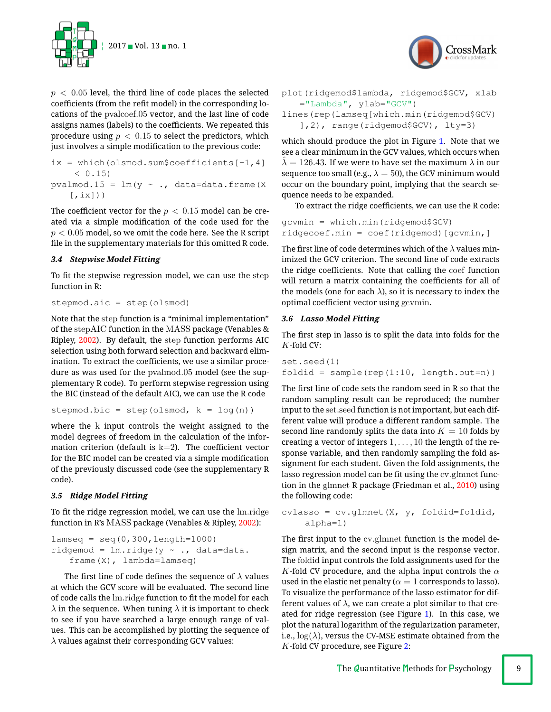



```
ix = which (olsmooth.sum$coefficients[-1, 4]< 0.15pvalmod.15 = lm(y \sim ., data=data-frame(X))[jix])
```
The coefficient vector for the  $p < 0.15$  model can be created via a simple modification of the code used for the *p <* 0*.*05 model, so we omit the code here. See the R script file in the supplementary materials for this omitted R code.

# *3.4 Stepwise Model Fitting*

To fit the stepwise regression model, we can use the step function in R:

stepmod.aic = step(olsmod)

Note that the step function is a "minimal implementation" of the stepAIC function in the MASS package (Venables & Ripley, [2002\)](#page-15-23). By default, the step function performs AIC selection using both forward selection and backward elimination. To extract the coefficients, we use a similar procedure as was used for the pvalmod.05 model (see the supplementary R code). To perform stepwise regression using the BIC (instead of the default AIC), we can use the R code

```
stepmod.bic = step(olsmod, k = log(n))
```
where the k input controls the weight assigned to the model degrees of freedom in the calculation of the information criterion (default is  $k=2$ ). The coefficient vector for the BIC model can be created via a simple modification of the previously discussed code (see the supplementary R code).

# *3.5 Ridge Model Fitting*

To fit the ridge regression model, we can use the  $lm.ridge$ function in R's MASS package (Venables & Ripley, [2002\)](#page-15-23):

```
lamseq = seq(0, 300, length=1000)ridgemod = lm.ridge(y \sim ., data=data.
   frame(X), lambda=lamseq)
```
The first line of code defines the sequence of  $\lambda$  values at which the GCV score will be evaluated. The second line of code calls the  $lm.ridge$  function to fit the model for each  $\lambda$  in the sequence. When tuning  $\lambda$  it is important to check to see if you have searched a large enough range of values. This can be accomplished by plotting the sequence of  $\lambda$  values against their corresponding GCV values:



plot(ridgemod\$lambda, ridgemod\$GCV, xlab  $=$ "Lambda", ylab="GCV")

```
lines(rep(lamseq[which.min(ridgemod$GCV)
   ],2), range(ridgemod$GCV), lty=3)
```
which should produce the plot in Figure [1.](#page-9-0) Note that we see a clear minimum in the GCV values, which occurs when  $\lambda = 126.43$ . If we were to have set the maximum  $\lambda$  in our sequence too small (e.g.,  $\lambda = 50$ ), the GCV minimum would occur on the boundary point, implying that the search sequence needs to be expanded.

To extract the ridge coefficients, we can use the R code:

```
gcvmin = which.min(ridgemod$GCV)
ridgecoef.min = coef(ridgemod)[gcvmin,]
```
The first line of code determines which of the  $\lambda$  values minimized the GCV criterion. The second line of code extracts the ridge coefficients. Note that calling the coef function will return a matrix containing the coefficients for all of the models (one for each  $\lambda$ ), so it is necessary to index the optimal coefficient vector using gcvmin.

# *3.6 Lasso Model Fitting*

The first step in lasso is to split the data into folds for the *K*-fold CV:

```
set.seed(1)
foldid = sample(rep(1:10, length.out=n))
```
The first line of code sets the random seed in  $R$  so that the random sampling result can be reproduced; the number input to the set.seed function is not important, but each different value will produce a different random sample. The second line randomly splits the data into  $K = 10$  folds by creating a vector of integers 1*,...,* 10 the length of the response variable, and then randomly sampling the fold assignment for each student. Given the fold assignments, the lasso regression model can be fit using the cv.glmnet function in the glmnet R package (Friedman et al., [2010\)](#page-15-17) using the following code:

```
cylasso = cv.glmnet(X, y, foldid=foldid,alpha=1)
```
The first input to the  $cv$ .glmnet function is the model design matrix, and the second input is the response vector. The foldid input controls the fold assignments used for the *K*-fold CV procedure, and the alpha input controls the  $\alpha$ used in the elastic net penalty ( $\alpha = 1$  corresponds to lasso). To visualize the performance of the lasso estimator for different values of  $\lambda$ , we can create a plot similar to that created for ridge regression (see Figure [1\)](#page-9-0). In this case, we plot the natural logarithm of the regularization parameter, i.e.,  $log(\lambda)$ , versus the CV-MSE estimate obtained from the *K*-fold CV procedure, see Figure [2:](#page-10-0)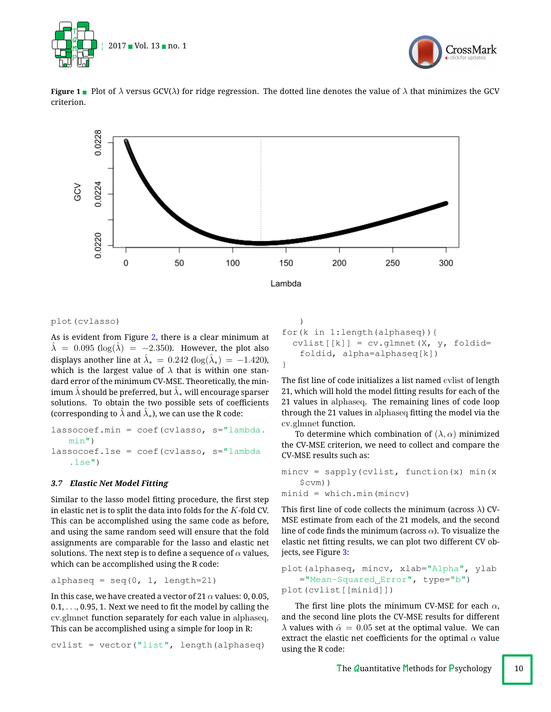



<span id="page-9-0"></span>



## plot(cvlasso)

As is evident from Figure [2,](#page-10-0) there is a clear minimum at  $\lambda = 0.095$  (log( $\lambda$ ) = -2.350). However, the plot also displays another line at  $\hat{\lambda}_* = 0.242 \left( \log(\hat{\lambda}_*) \right) = -1.420$ ), which is the largest value of  $\lambda$  that is within one standard error of the minimum CV-MSE. Theoretically, the minimum  $\lambda$  should be preferred, but  $\lambda_*$  will encourage sparser solutions. To obtain the two possible sets of coefficients (corresponding to  $\lambda$  and  $\lambda_*$ ), we can use the R code:

```
lassocoef.min = coef(cvlasso, s="lambda.
   min")
lassocoef.1se = coef(cvlasso, s="lambda
   .1se")
```
# *3.7 Elastic Net Model Fitting*

Similar to the lasso model fitting procedure, the first step in elastic net is to split the data into folds for the *K*-fold CV. This can be accomplished using the same code as before, and using the same random seed will ensure that the fold assignments are comparable for the lasso and elastic net solutions. The next step is to define a sequence of  $\alpha$  values, which can be accomplished using the R code:

alphaseq =  $seq(0, 1, length=21)$ 

In this case, we have created a vector of 21  $\alpha$  values: 0, 0.05,  $0.1, \ldots, 0.95, 1$ . Next we need to fit the model by calling the cv.glmnet function separately for each value in alphaseq. This can be accomplished using a simple for loop in R:

 $cvlist = vector("list", length(alphaseq))$ 

```
)
for(k in 1:length(alphaseq)){
 cvlist[[k]] = cv.glmnet(X, y, foldid=foldid, alpha=alphaseq[k])
}
```
The fist line of code initializes a list named cvlist of length 21, which will hold the model fitting results for each of the 21 values in alphaseq. The remaining lines of code loop through the 21 values in alphaseq tting the model via the cv.glmnet function.

To determine which combination of  $(\lambda, \alpha)$  minimized the CV-MSE criterion, we need to collect and compare the CV-MSE results such as:

```
mincv = sapply(cvlist, function(x) min(x)$cvm))
minid = which.min(mincv)
```
This first line of code collects the minimum (across  $\lambda$ ) CV-MSE estimate from each of the 21 models, and the second line of code finds the minimum (across  $\alpha$ ). To visualize the elastic net fitting results, we can plot two different CV objects, see Figure [3:](#page-11-0)

```
plot(alphaseq, mincv, xlab="Alpha", ylab
   ="Mean-Squared Error", type="b")
plot(cvlist[[minid]])
```
The first line plots the minimum CV-MSE for each  $\alpha$ , and the second line plots the CV-MSE results for different  $\lambda$  values with  $\hat{\alpha} = 0.05$  set at the optimal value. We can extract the elastic net coefficients for the optimal  $\alpha$  value using the R code: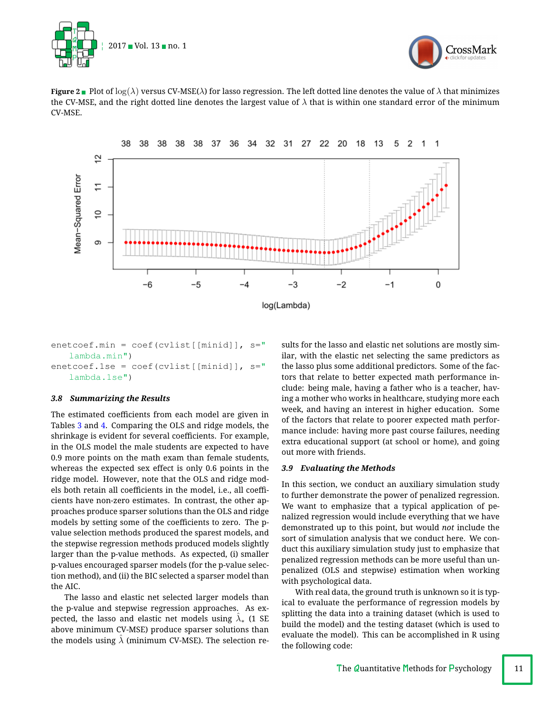



<span id="page-10-0"></span>**Figure 2** Plot of  $\log(\lambda)$  versus CV-MSE( $\lambda$ ) for lasso regression. The left dotted line denotes the value of  $\lambda$  that minimizes the CV-MSE, and the right dotted line denotes the largest value of  $\lambda$  that is within one standard error of the minimum CV-MSE.



enetcoef.min = coef(cvlist[[minid]], s=" lambda.min") enetcoef.1se = coef(cvlist[[minid]], s=" lambda.1se")

# *3.8 Summarizing the Results*

The estimated coefficients from each model are given in Tables [3](#page-17-0) and [4.](#page-18-0) Comparing the OLS and ridge models, the shrinkage is evident for several coefficients. For example, in the OLS model the male students are expected to have 0.9 more points on the math exam than female students, whereas the expected sex effect is only 0.6 points in the ridge model. However, note that the OLS and ridge models both retain all coefficients in the model, i.e., all coefficients have non-zero estimates. In contrast, the other approaches produce sparser solutions than the OLS and ridge models by setting some of the coefficients to zero. The pvalue selection methods produced the sparest models, and the stepwise regression methods produced models slightly larger than the p-value methods. As expected, (i) smaller p-values encouraged sparser models (for the p-value selection method), and (ii) the BIC selected a sparser model than the AIC.

The lasso and elastic net selected larger models than the p-value and stepwise regression approaches. As expected, the lasso and elastic net models using  $\lambda_*$  (1 SE above minimum CV-MSE) produce sparser solutions than the models using  $\lambda$  (minimum CV-MSE). The selection results for the lasso and elastic net solutions are mostly similar, with the elastic net selecting the same predictors as the lasso plus some additional predictors. Some of the factors that relate to better expected math performance include: being male, having a father who is a teacher, having a mother who works in healthcare, studying more each week, and having an interest in higher education. Some of the factors that relate to poorer expected math performance include: having more past course failures, needing extra educational support (at school or home), and going out more with friends.

## *3.9 Evaluating the Methods*

In this section, we conduct an auxiliary simulation study to further demonstrate the power of penalized regression. We want to emphasize that a typical application of penalized regression would include everything that we have demonstrated up to this point, but would *not* include the sort of simulation analysis that we conduct here. We conduct this auxiliary simulation study just to emphasize that penalized regression methods can be more useful than unpenalized (OLS and stepwise) estimation when working with psychological data.

With real data, the ground truth is unknown so it is typical to evaluate the performance of regression models by splitting the data into a training dataset (which is used to build the model) and the testing dataset (which is used to evaluate the model). This can be accomplished in R using the following code: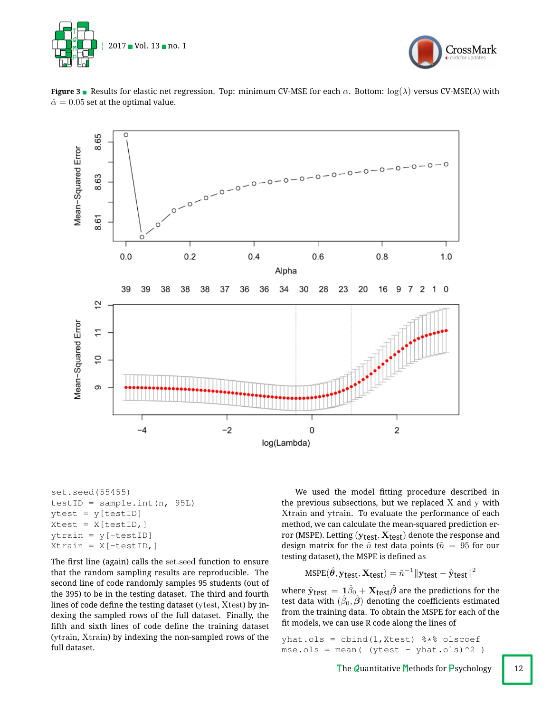



**Figure 3** Results for elastic net regression. Top: minimum CV-MSE for each  $\alpha$ . Bottom:  $\log(\lambda)$  versus CV-MSE( $\lambda$ ) with  $\hat{\alpha} = 0.05$  set at the optimal value.

<span id="page-11-0"></span>

set.seed(55455) testID = sample.int $(n, 95L)$  $ytest = y[testID]$ Xtest = X[testID,] ytrain = y[-testID]  $Xtrain = X[-testID, ]$ 

The first line (again) calls the set.seed function to ensure that the random sampling results are reproducible. The second line of code randomly samples 95 students (out of the 395) to be in the testing dataset. The third and fourth lines of code define the testing dataset (ytest,  $X$ test) by indexing the sampled rows of the full dataset. Finally, the fifth and sixth lines of code define the training dataset (ytrain, Xtrain) by indexing the non-sampled rows of the full dataset.

We used the model fitting procedure described in the previous subsections, but we replaced  $X$  and  $y$  with Xtrain and ytrain. To evaluate the performance of each method, we can calculate the mean-squared prediction error (MSPE). Letting ( $y_{\text{test}}, X_{\text{test}}$ ) denote the response and design matrix for the  $\tilde{n}$  test data points ( $\tilde{n} = 95$  for our testing dataset), the MSPE is defined as

$$
\text{MSPE}(\hat{\boldsymbol{\theta}}, \mathbf{y_{test}}, \mathbf{X_{test}}) = \tilde{n}^{-1} \|\mathbf{y_{test}} - \hat{\mathbf{y}}_{test}\|^2
$$

where  $\hat{\mathbf{y}}_{\text{test}} = 1\beta_0 + \mathbf{X}_{\text{test}}\hat{\boldsymbol{\beta}}$  are the predictions for the test data with  $(\beta_0, \beta)$  denoting the coefficients estimated from the training data. To obtain the MSPE for each of the fit models, we can use R code along the lines of

yhat.ols =  $cbind(1,Xtest)$   $**$  olscoef  $mse.ols = mean($  (ytest - yhat.ols)^2 )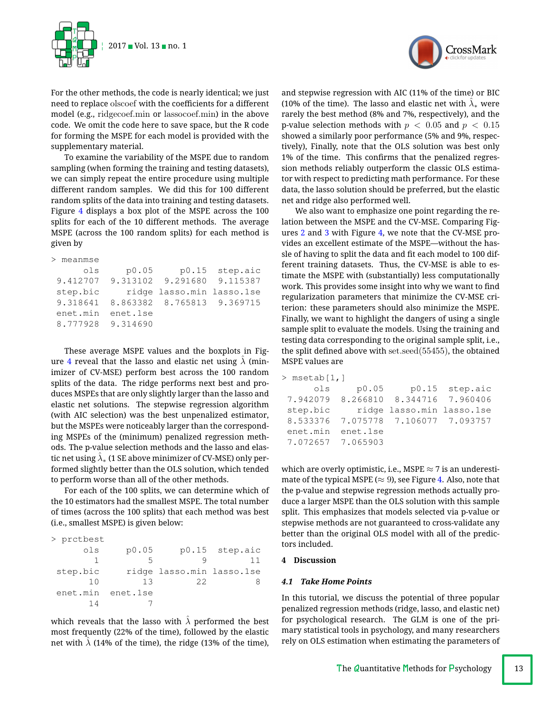

For the other methods, the code is nearly identical; we just need to replace olscoef with the coefficients for a different model (e.g., ridgecoef.min or lassocoef.min) in the above code. We omit the code here to save space, but the R code for forming the MSPE for each model is provided with the supplementary material.

To examine the variability of the MSPE due to random sampling (when forming the training and testing datasets), we can simply repeat the entire procedure using multiple different random samples. We did this for 100 different random splits of the data into training and testing datasets. Figure [4](#page-13-0) displays a box plot of the MSPE across the 100 splits for each of the 10 different methods. The average MSPE (across the 100 random splits) for each method is given by

| meanmse  |          |                            |          |
|----------|----------|----------------------------|----------|
| ols      | p0.05    | p0.15                      | step.aic |
| 9.412707 |          | 9.313102 9.291680 9.115387 |          |
| step.bic |          | ridge lasso.min lasso.1se  |          |
| 9.318641 |          | 8.863382 8.765813 9.369715 |          |
| enet.min | enet.1se |                            |          |
| 8.777928 | 9.314690 |                            |          |
|          |          |                            |          |

These average MSPE values and the boxplots in Fig-ure [4](#page-13-0) reveal that the lasso and elastic net using  $\lambda$  (minimizer of CV-MSE) perform best across the 100 random splits of the data. The ridge performs next best and produces MSPEs that are only slightly larger than the lasso and elastic net solutions. The stepwise regression algorithm (with AIC selection) was the best unpenalized estimator, but the MSPEs were noticeably larger than the corresponding MSPEs of the (minimum) penalized regression methods. The p-value selection methods and the lasso and elastic net using  $\lambda_*$  (1 SE above minimizer of CV-MSE) only performed slightly better than the OLS solution, which tended to perform worse than all of the other methods.

For each of the 100 splits, we can determine which of the 10 estimators had the smallest MSPE. The total number of times (across the 100 splits) that each method was best (i.e., smallest MSPE) is given below:

| > prctbest |          |                           |                |
|------------|----------|---------------------------|----------------|
| ols        | p0.05    |                           | p0.15 step.aic |
|            | 5        |                           |                |
| step.bic   |          | ridge lasso.min lasso.1se |                |
| 1 O        | 13       | 22                        |                |
| enet.min   | enet.lse |                           |                |
|            |          |                           |                |

which reveals that the lasso with  $\hat{\lambda}$  performed the best most frequently (22% of the time), followed by the elastic net with  $\lambda$  (14% of the time), the ridge (13% of the time),



and stepwise regression with AIC (11% of the time) or BIC (10% of the time). The lasso and elastic net with  $\lambda_*$  were rarely the best method (8% and 7%, respectively), and the p-value selection methods with  $p < 0.05$  and  $p < 0.15$ showed a similarly poor performance (5% and 9%, respectively), Finally, note that the OLS solution was best only 1% of the time. This confirms that the penalized regression methods reliably outperform the classic OLS estimator with respect to predicting math performance. For these data, the lasso solution should be preferred, but the elastic net and ridge also performed well.

We also want to emphasize one point regarding the relation between the MSPE and the CV-MSE. Comparing Figures [2](#page-10-0) and [3](#page-11-0) with Figure [4,](#page-13-0) we note that the CV-MSE provides an excellent estimate of the MSPE—without the hassle of having to split the data and fit each model to 100 different training datasets. Thus, the CV-MSE is able to estimate the MSPE with (substantially) less computationally work. This provides some insight into why we want to find regularization parameters that minimize the CV-MSE criterion: these parameters should also minimize the MSPE. Finally, we want to highlight the dangers of using a single sample split to evaluate the models. Using the training and testing data corresponding to the original sample split, i.e., the split defined above with  $set.seed(55455)$ , the obtained MSPE values are

| $>$ <code>msetab[1,]</code> |                                     |  |
|-----------------------------|-------------------------------------|--|
| ols                         | $p0.05$ $p0.15$ step.aic            |  |
|                             | 7.942079 8.266810 8.344716 7.960406 |  |
| step.bic                    | ridge lasso.min lasso.1se           |  |
|                             | 8.533376 7.075778 7.106077 7.093757 |  |
| enet.min enet.1se           |                                     |  |
| 7.072657 7.065903           |                                     |  |
|                             |                                     |  |

which are overly optimistic, i.e., MSPE  $\approx$  7 is an underestimate of the typical MSPE ( $\approx$  9), see Figure [4.](#page-13-0) Also, note that the p-value and stepwise regression methods actually produce a larger MSPE than the OLS solution with this sample split. This emphasizes that models selected via p-value or stepwise methods are not guaranteed to cross-validate any better than the original OLS model with all of the predictors included.

# **4 Discussion**

# *4.1 Take Home Points*

In this tutorial, we discuss the potential of three popular penalized regression methods (ridge, lasso, and elastic net) for psychological research. The GLM is one of the primary statistical tools in psychology, and many researchers rely on OLS estimation when estimating the parameters of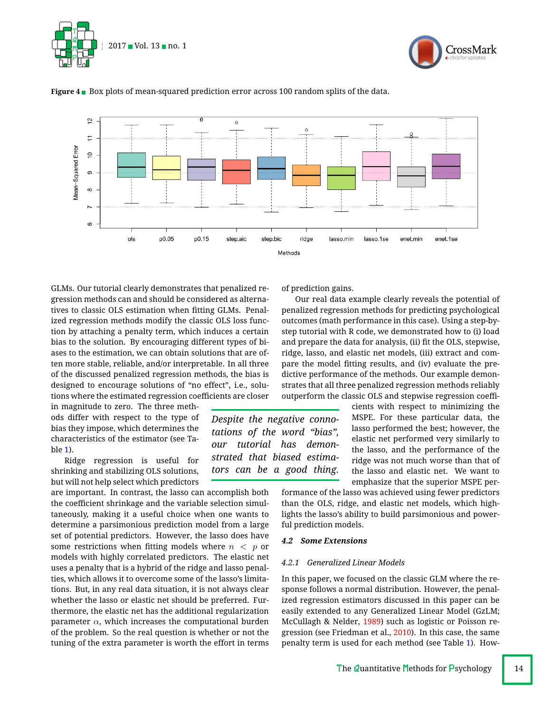





*Despite the negative connotations of the word "bias", our tutorial has demonstrated that biased estimators can be a good thing.*

<span id="page-13-0"></span>**Figure 4** Box plots of mean-squared prediction error across 100 random splits of the data.

GLMs. Our tutorial clearly demonstrates that penalized regression methods can and should be considered as alternatives to classic OLS estimation when fitting GLMs. Penalized regression methods modify the classic OLS loss function by attaching a penalty term, which induces a certain bias to the solution. By encouraging different types of biases to the estimation, we can obtain solutions that are often more stable, reliable, and/or interpretable. In all three of the discussed penalized regression methods, the bias is designed to encourage solutions of "no effect", i.e., solutions where the estimated regression coefficients are closer

in magnitude to zero. The three methods differ with respect to the type of bias they impose, which determines the characteristics of the estimator (see Table [1\)](#page-6-0).

Ridge regression is useful for shrinking and stabilizing OLS solutions, but will not help select which predictors

are important. In contrast, the lasso can accomplish both the coefficient shrinkage and the variable selection simultaneously, making it a useful choice when one wants to determine a parsimonious prediction model from a large set of potential predictors. However, the lasso does have some restrictions when fitting models where  $n < p$  or models with highly correlated predictors. The elastic net uses a penalty that is a hybrid of the ridge and lasso penalties, which allows it to overcome some of the lasso's limitations. But, in any real data situation, it is not always clear whether the lasso or elastic net should be preferred. Furthermore, the elastic net has the additional regularization parameter  $\alpha$ , which increases the computational burden of the problem. So the real question is whether or not the tuning of the extra parameter is worth the effort in terms

of prediction gains.

Our real data example clearly reveals the potential of penalized regression methods for predicting psychological outcomes (math performance in this case). Using a step-bystep tutorial with R code, we demonstrated how to (i) load and prepare the data for analysis, (ii) fit the OLS, stepwise, ridge, lasso, and elastic net models, (iii) extract and compare the model fitting results, and (iv) evaluate the predictive performance of the methods. Our example demonstrates that all three penalized regression methods reliably outperform the classic OLS and stepwise regression coeffi-

> cients with respect to minimizing the MSPE. For these particular data, the lasso performed the best; however, the elastic net performed very similarly to the lasso, and the performance of the ridge was not much worse than that of the lasso and elastic net. We want to emphasize that the superior MSPE per-

formance of the lasso was achieved using fewer predictors than the OLS, ridge, and elastic net models, which highlights the lasso's ability to build parsimonious and powerful prediction models.

# *4.2 Some Extensions*

## *4.2.1 Generalized Linear Models*

In this paper, we focused on the classic GLM where the response follows a normal distribution. However, the penalized regression estimators discussed in this paper can be easily extended to any Generalized Linear Model (GzLM; McCullagh & Nelder, [1989\)](#page-15-24) such as logistic or Poisson regression (see Friedman et al., [2010\)](#page-15-17). In this case, the same penalty term is used for each method (see Table [1\)](#page-6-0). How-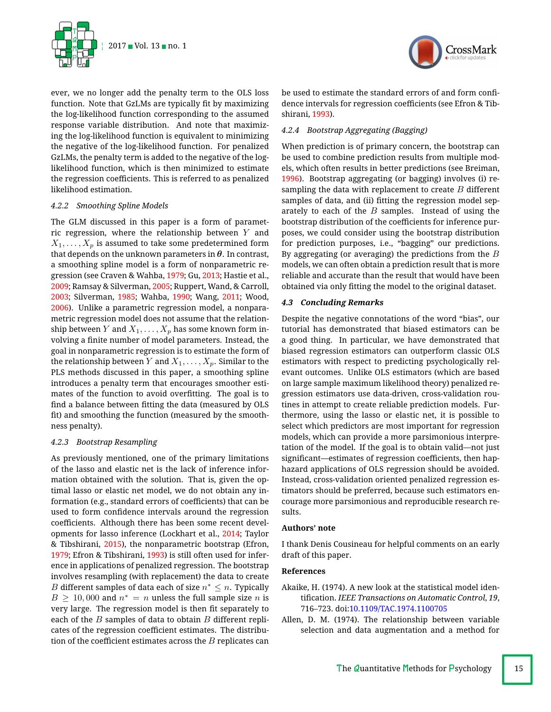

ever, we no longer add the penalty term to the OLS loss function. Note that GzLMs are typically fit by maximizing the log-likelihood function corresponding to the assumed response variable distribution. And note that maximizing the log-likelihood function is equivalent to minimizing the negative of the log-likelihood function. For penalized GzLMs, the penalty term is added to the negative of the loglikelihood function, which is then minimized to estimate the regression coefficients. This is referred to as penalized likelihood estimation.

## *4.2.2 Smoothing Spline Models*

The GLM discussed in this paper is a form of parametric regression, where the relationship between *Y* and  $X_1, \ldots, X_p$  is assumed to take some predetermined form that depends on the unknown parameters in  $\theta$ . In contrast, a smoothing spline model is a form of nonparametric regression (see Craven & Wahba, [1979;](#page-15-25) Gu, [2013;](#page-15-26) Hastie et al., [2009;](#page-15-5) Ramsay & Silverman, [2005;](#page-15-13) Ruppert, Wand, & Carroll, [2003;](#page-15-27) Silverman, [1985;](#page-15-28) Wahba, [1990;](#page-16-3) Wang, [2011;](#page-16-4) Wood, [2006\)](#page-16-5). Unlike a parametric regression model, a nonparametric regression model does not assume that the relationship between *Y* and  $X_1, \ldots, X_p$  has some known form involving a finite number of model parameters. Instead, the goal in nonparametric regression is to estimate the form of the relationship between *Y* and  $X_1, \ldots, X_p$ . Similar to the PLS methods discussed in this paper, a smoothing spline introduces a penalty term that encourages smoother estimates of the function to avoid overfitting. The goal is to find a balance between fitting the data (measured by OLS fit) and smoothing the function (measured by the smoothness penalty).

# *4.2.3 Bootstrap Resampling*

As previously mentioned, one of the primary limitations of the lasso and elastic net is the lack of inference information obtained with the solution. That is, given the optimal lasso or elastic net model, we do not obtain any information (e.g., standard errors of coefficients) that can be used to form confidence intervals around the regression coefficients. Although there has been some recent developments for lasso inference (Lockhart et al., [2014;](#page-15-18) Taylor & Tibshirani, [2015\)](#page-15-19), the nonparametric bootstrap (Efron, [1979;](#page-15-29) Efron & Tibshirani, [1993\)](#page-15-20) is still often used for inference in applications of penalized regression. The bootstrap involves resampling (with replacement) the data to create *B* different samples of data each of size  $n^* \leq n$ . Typically  $B \ge 10,000$  and  $n^* = n$  unless the full sample size *n* is very large. The regression model is then fit separately to each of the *B* samples of data to obtain *B* different replicates of the regression coefficient estimates. The distribution of the coefficient estimates across the  $B$  replicates can



be used to estimate the standard errors of and form confidence intervals for regression coefficients (see Efron & Tibshirani, [1993\)](#page-15-20).

# *4.2.4 Bootstrap Aggregating (Bagging)*

When prediction is of primary concern, the bootstrap can be used to combine prediction results from multiple models, which often results in better predictions (see Breiman, [1996\)](#page-15-30). Bootstrap aggregating (or bagging) involves (i) resampling the data with replacement to create *B* different samples of data, and (ii) fitting the regression model separately to each of the *B* samples. Instead of using the bootstrap distribution of the coefficients for inference purposes, we could consider using the bootstrap distribution for prediction purposes, i.e., "bagging" our predictions. By aggregating (or averaging) the predictions from the *B* models, we can often obtain a prediction result that is more reliable and accurate than the result that would have been obtained via only fitting the model to the original dataset.

## *4.3 Concluding Remarks*

Despite the negative connotations of the word "bias", our tutorial has demonstrated that biased estimators can be a good thing. In particular, we have demonstrated that biased regression estimators can outperform classic OLS estimators with respect to predicting psychologically relevant outcomes. Unlike OLS estimators (which are based on large sample maximum likelihood theory) penalized regression estimators use data-driven, cross-validation routines in attempt to create reliable prediction models. Furthermore, using the lasso or elastic net, it is possible to select which predictors are most important for regression models, which can provide a more parsimonious interpretation of the model. If the goal is to obtain valid—not just significant-estimates of regression coefficients, then haphazard applications of OLS regression should be avoided. Instead, cross-validation oriented penalized regression estimators should be preferred, because such estimators encourage more parsimonious and reproducible research results.

## **Authors' note**

I thank Denis Cousineau for helpful comments on an early draft of this paper.

## **References**

- <span id="page-14-0"></span>Akaike, H. (1974). A new look at the statistical model identication. *IEEE Transactions on Automatic Control*, *19*, 716–723. doi[:10.1109/TAC.1974.1100705](https://dx.doi.org/10.1109/TAC.1974.1100705)
- <span id="page-14-1"></span>Allen, D. M. (1974). The relationship between variable selection and data augmentation and a method for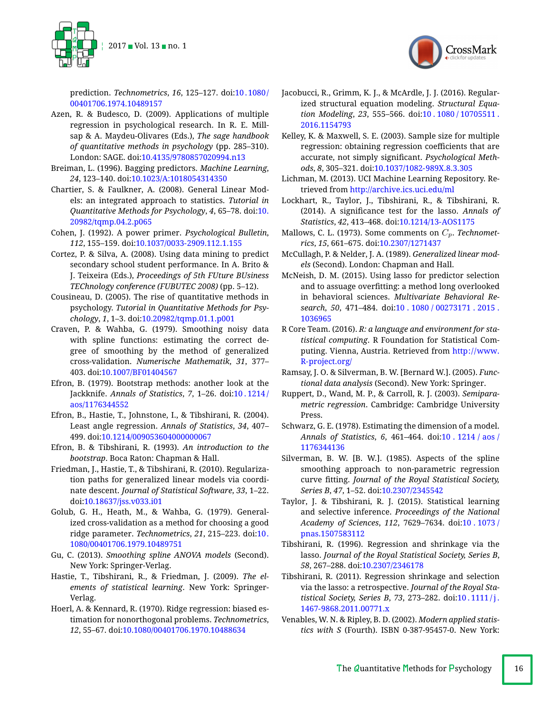

prediction. *Technometrics*, *16*, 125–127. doi[:10. 1080/](https://dx.doi.org/10.1080/00401706.1974.10489157) [00401706.1974.10489157](https://dx.doi.org/10.1080/00401706.1974.10489157)

- <span id="page-15-0"></span>Azen, R. & Budesco, D. (2009). Applications of multiple regression in psychological research. In R. E. Millsap & A. Maydeu-Olivares (Eds.), *The sage handbook of quantitative methods in psychology* (pp. 285–310). London: SAGE. doi[:10.4135/9780857020994.n13](https://dx.doi.org/10.4135/9780857020994.n13)
- <span id="page-15-30"></span>Breiman, L. (1996). Bagging predictors. *Machine Learning*, *24*, 123–140. doi[:10.1023/A:1018054314350](https://dx.doi.org/10.1023/A:1018054314350)
- <span id="page-15-1"></span>Chartier, S. & Faulkner, A. (2008). General Linear Models: an integrated approach to statistics. *Tutorial in Quantitative Methods for Psychology*, *4*, 65–78. doi[:10.](https://dx.doi.org/10.20982/tqmp.04.2.p065) [20982/tqmp.04.2.p065](https://dx.doi.org/10.20982/tqmp.04.2.p065)
- <span id="page-15-3"></span>Cohen, J. (1992). A power primer. *Psychological Bulletin*, *112*, 155–159. doi[:10.1037/0033-2909.112.1.155](https://dx.doi.org/10.1037/0033-2909.112.1.155)
- <span id="page-15-21"></span>Cortez, P. & Silva, A. (2008). Using data mining to predict secondary school student performance. In A. Brito & J. Teixeira (Eds.), *Proceedings of 5th FUture BUsiness TEChnology conference (FUBUTEC 2008)* (pp. 5–12).
- <span id="page-15-2"></span>Cousineau, D. (2005). The rise of quantitative methods in psychology. *Tutorial in Quantitative Methods for Psychology*, *1*, 1–3. doi[:10.20982/tqmp.01.1.p001](https://dx.doi.org/10.20982/tqmp.01.1.p001)
- <span id="page-15-25"></span>Craven, P. & Wahba, G. (1979). Smoothing noisy data with spline functions: estimating the correct degree of smoothing by the method of generalized cross-validation. *Numerische Mathematik*, *31*, 377– 403. doi[:10.1007/BF01404567](https://dx.doi.org/10.1007/BF01404567)
- <span id="page-15-29"></span>Efron, B. (1979). Bootstrap methods: another look at the Jackknife. *Annals of Statistics*, *7*, 1–26. doi[:10 . 1214 /](https://dx.doi.org/10.1214/aos/1176344552) [aos/1176344552](https://dx.doi.org/10.1214/aos/1176344552)
- <span id="page-15-16"></span>Efron, B., Hastie, T., Johnstone, I., & Tibshirani, R. (2004). Least angle regression. *Annals of Statistics*, *34*, 407– 499. doi[:10.1214/009053604000000067](https://dx.doi.org/10.1214/009053604000000067)
- <span id="page-15-20"></span>Efron, B. & Tibshirani, R. (1993). *An introduction to the bootstrap*. Boca Raton: Chapman & Hall.
- <span id="page-15-17"></span>Friedman, J., Hastie, T., & Tibshirani, R. (2010). Regularization paths for generalized linear models via coordinate descent. *Journal of Statistical Software*, *33*, 1–22. doi[:10.18637/jss.v033.i01](https://dx.doi.org/10.18637/jss.v033.i01)
- <span id="page-15-12"></span>Golub, G. H., Heath, M., & Wahba, G. (1979). Generalized cross-validation as a method for choosing a good ridge parameter. *Technometrics*, *21*, 215–223. doi[:10.](https://dx.doi.org/10.1080/00401706.1979.10489751) [1080/00401706.1979.10489751](https://dx.doi.org/10.1080/00401706.1979.10489751)
- <span id="page-15-26"></span>Gu, C. (2013). *Smoothing spline ANOVA models* (Second). New York: Springer-Verlag.
- <span id="page-15-5"></span>Hastie, T., Tibshirani, R., & Friedman, J. (2009). *The elements of statistical learning*. New York: Springer-Verlag.
- <span id="page-15-11"></span>Hoerl, A. & Kennard, R. (1970). Ridge regression: biased estimation for nonorthogonal problems. *Technometrics*, *12*, 55–67. doi[:10.1080/00401706.1970.10488634](https://dx.doi.org/10.1080/00401706.1970.10488634)
- <span id="page-15-6"></span>Jacobucci, R., Grimm, K. J., & McArdle, J. J. (2016). Regularized structural equation modeling. *Structural Equation Modeling*, *23*, 555–566. doi[:10 . 1080 / 10705511 .](https://dx.doi.org/10.1080/10705511.2016.1154793) [2016.1154793](https://dx.doi.org/10.1080/10705511.2016.1154793)
- <span id="page-15-4"></span>Kelley, K. & Maxwell, S. E. (2003). Sample size for multiple regression: obtaining regression coefficients that are accurate, not simply signicant. *Psychological Methods*, *8*, 305–321. doi[:10.1037/1082-989X.8.3.305](https://dx.doi.org/10.1037/1082-989X.8.3.305)
- <span id="page-15-22"></span>Lichman, M. (2013). UCI Machine Learning Repository. Retrieved from <http://archive.ics.uci.edu/ml>
- <span id="page-15-18"></span>Lockhart, R., Taylor, J., Tibshirani, R., & Tibshirani, R. (2014). A signicance test for the lasso. *Annals of Statistics*, *42*, 413–468. doi[:10.1214/13-AOS1175](https://dx.doi.org/10.1214/13-AOS1175)
- <span id="page-15-10"></span>Mallows, C. L. (1973). Some comments on *Cp*. *Technometrics*, *15*, 661–675. doi[:10.2307/1271437](https://dx.doi.org/10.2307/1271437)
- <span id="page-15-24"></span>McCullagh, P. & Nelder, J. A. (1989). *Generalized linear models* (Second). London: Chapman and Hall.
- <span id="page-15-7"></span>McNeish, D. M. (2015). Using lasso for predictor selection and to assuage overfitting: a method long overlooked in behavioral sciences. *Multivariate Behavioral Research*, *50*, 471–484. doi[:10 . 1080 / 00273171 . 2015 .](https://dx.doi.org/10.1080/00273171.2015.1036965) [1036965](https://dx.doi.org/10.1080/00273171.2015.1036965)
- <span id="page-15-8"></span>R Core Team. (2016). *R: a language and environment for statistical computing*. R Foundation for Statistical Computing. Vienna, Austria. Retrieved from [http://www.](http://www.R-project.org/) [R-project.org/](http://www.R-project.org/)
- <span id="page-15-13"></span>Ramsay, J. O. & Silverman, B. W. [Bernard W.]. (2005). *Functional data analysis* (Second). New York: Springer.
- <span id="page-15-27"></span>Ruppert, D., Wand, M. P., & Carroll, R. J. (2003). *Semiparametric regression*. Cambridge: Cambridge University Press.
- <span id="page-15-9"></span>Schwarz, G. E. (1978). Estimating the dimension of a model. *Annals of Statistics*, *6*, 461–464. doi[:10 . 1214 / aos /](https://dx.doi.org/10.1214/aos/1176344136) [1176344136](https://dx.doi.org/10.1214/aos/1176344136)
- <span id="page-15-28"></span>Silverman, B. W. [B. W.]. (1985). Aspects of the spline smoothing approach to non-parametric regression curve tting. *Journal of the Royal Statistical Society, Series B*, *47*, 1–52. doi[:10.2307/2345542](https://dx.doi.org/10.2307/2345542)
- <span id="page-15-19"></span>Taylor, J. & Tibshirani, R. J. (2015). Statistical learning and selective inference. *Proceedings of the National Academy of Sciences*, *112*, 7629–7634. doi[:10 . 1073 /](https://dx.doi.org/10.1073/pnas.1507583112) [pnas.1507583112](https://dx.doi.org/10.1073/pnas.1507583112)
- <span id="page-15-14"></span>Tibshirani, R. (1996). Regression and shrinkage via the lasso. *Journal of the Royal Statistical Society, Series B*, *58*, 267–288. doi[:10.2307/2346178](https://dx.doi.org/10.2307/2346178)
- <span id="page-15-15"></span>Tibshirani, R. (2011). Regression shrinkage and selection via the lasso: a retrospective. *Journal of the Royal Statistical Society, Series B*, *73*, 273–282. doi[:10 . 1111 / j .](https://dx.doi.org/10.1111/j.1467-9868.2011.00771.x) [1467-9868.2011.00771.x](https://dx.doi.org/10.1111/j.1467-9868.2011.00771.x)
- <span id="page-15-23"></span>Venables, W. N. & Ripley, B. D. (2002). *Modern applied statistics with S* (Fourth). ISBN 0-387-95457-0. New York:

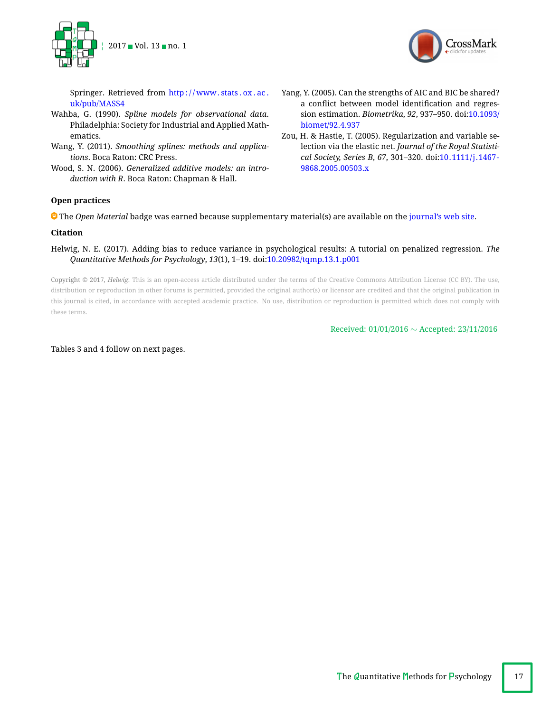



Springer. Retrieved from http://www.stats.ox.ac. [uk/pub/MASS4](http://www.stats.ox.ac.uk/pub/MASS4)

- <span id="page-16-3"></span>Wahba, G. (1990). *Spline models for observational data*. Philadelphia: Society for Industrial and Applied Mathematics.
- <span id="page-16-4"></span>Wang, Y. (2011). *Smoothing splines: methods and applications*. Boca Raton: CRC Press.
- <span id="page-16-5"></span>Wood, S. N. (2006). *Generalized additive models: an introduction with R*. Boca Raton: Chapman & Hall.
- <span id="page-16-1"></span>Yang, Y. (2005). Can the strengths of AIC and BIC be shared? a conflict between model identification and regression estimation. *Biometrika*, *92*, 937–950. doi[:10.1093/](https://dx.doi.org/10.1093/biomet/92.4.937) [biomet/92.4.937](https://dx.doi.org/10.1093/biomet/92.4.937)
- <span id="page-16-2"></span>Zou, H. & Hastie, T. (2005). Regularization and variable selection via the elastic net. *Journal of the Royal Statistical Society, Series B*, *67*, 301–320. doi[:10.1111/j.1467-](https://dx.doi.org/10.1111/j.1467-9868.2005.00503.x) [9868.2005.00503.x](https://dx.doi.org/10.1111/j.1467-9868.2005.00503.x)

# <span id="page-16-0"></span>**Open practices**

The *Open Material* badge was earned because supplementary material(s) are available on the [journal's web site.](http://www.tqmp.org/RegularArticles/vol13-1/p001/p001.zip)

# **Citation**

Helwig, N. E. (2017). Adding bias to reduce variance in psychological results: A tutorial on penalized regression. *The Quantitative Methods for Psychology*, *13*(1), 1–19. doi[:10.20982/tqmp.13.1.p001](https://dx.doi.org/10.20982/tqmp.13.1.p001)

Copyright © 2017, *Helwig.* This is an open-access article distributed under the terms of the Creative Commons Attribution License (CC BY). The use, distribution or reproduction in other forums is permitted, provided the original author(s) or licensor are credited and that the original publication in this journal is cited, in accordance with accepted academic practice. No use, distribution or reproduction is permitted which does not comply with these terms.

Received:  $01/01/2016 \sim$  Accepted: 23/11/2016

Tables 3 and 4 follow on next pages.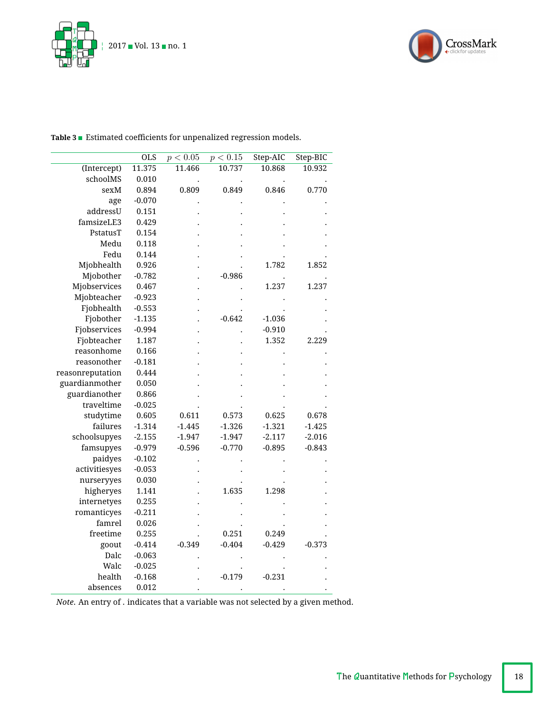



|                  | <b>OLS</b> | p < 0.05 | p < 0.15 | Step-AIC | Step-BIC |
|------------------|------------|----------|----------|----------|----------|
| (Intercept)      | 11.375     | 11.466   | 10.737   | 10.868   | 10.932   |
| schoolMS         | 0.010      |          |          |          |          |
| sexM             | 0.894      | 0.809    | 0.849    | 0.846    | 0.770    |
| age              | $-0.070$   |          |          |          |          |
| addressU         | 0.151      |          |          |          |          |
| famsizeLE3       | 0.429      |          |          |          |          |
| PstatusT         | 0.154      |          |          |          |          |
| Medu             | 0.118      |          |          |          |          |
| Fedu             | 0.144      |          |          |          |          |
| Mjobhealth       | 0.926      |          |          | 1.782    | 1.852    |
| Mjobother        | $-0.782$   |          | $-0.986$ |          |          |
| Mjobservices     | 0.467      |          |          | 1.237    | 1.237    |
| Mjobteacher      | $-0.923$   |          |          |          |          |
| Fjobhealth       | $-0.553$   |          |          |          |          |
| Fjobother        | $-1.135$   |          | $-0.642$ | $-1.036$ |          |
| Fjobservices     | $-0.994$   |          |          | $-0.910$ |          |
| Fjobteacher      | 1.187      |          |          | 1.352    | 2.229    |
| reasonhome       | 0.166      |          |          |          |          |
| reasonother      | $-0.181$   |          |          |          |          |
| reasonreputation | 0.444      |          |          |          |          |
| guardianmother   | 0.050      |          |          |          |          |
| guardianother    | 0.866      |          |          |          |          |
| traveltime       | $-0.025$   |          |          |          |          |
| studytime        | 0.605      | 0.611    | 0.573    | 0.625    | 0.678    |
| failures         | $-1.314$   | $-1.445$ | $-1.326$ | $-1.321$ | $-1.425$ |
| schoolsupyes     | $-2.155$   | $-1.947$ | $-1.947$ | $-2.117$ | $-2.016$ |
| famsupyes        | $-0.979$   | $-0.596$ | $-0.770$ | $-0.895$ | $-0.843$ |
| paidyes          | $-0.102$   |          |          |          |          |
| activitiesyes    | $-0.053$   |          |          |          |          |
| nurseryyes       | 0.030      |          |          |          |          |
| higheryes        | 1.141      |          | 1.635    | 1.298    |          |
| internetyes      | 0.255      |          |          |          |          |
| romanticyes      | $-0.211$   |          |          |          |          |
| famrel           | 0.026      |          |          |          |          |
| freetime         | 0.255      |          | 0.251    | 0.249    |          |
| goout            | $-0.414$   | $-0.349$ | $-0.404$ | $-0.429$ | $-0.373$ |
| Dalc             | $-0.063$   |          |          |          |          |
| Walc             | $-0.025$   |          |          |          |          |
| health           | $-0.168$   |          | $-0.179$ | $-0.231$ |          |
| absences         | 0.012      |          |          |          |          |

<span id="page-17-0"></span>Table 3 **Extimated coefficients for unpenalized regression models.** 

*Note*. An entry of . indicates that a variable was not selected by a given method.